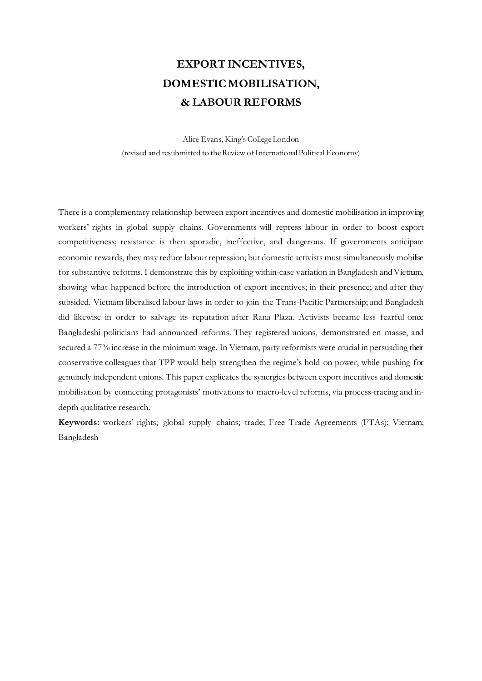# **EXPORT INCENTIVES, DOMESTIC MOBILISATION, & LABOUR REFORMS**

Alice Evans, King's College London (revised and resubmitted to the Review of International Political Economy)

There is a complementary relationship between export incentives and domestic mobilisation in improving workers' rights in global supply chains. Governments will repress labour in order to boost export competitiveness; resistance is then sporadic, ineffective, and dangerous. If governments anticipate economic rewards, they may reduce labour repression; but domestic activists must simultaneously mobilise for substantive reforms. I demonstrate this by exploiting within-case variation in Bangladesh and Vietnam, showing what happened before the introduction of export incentives; in their presence; and after they subsided. Vietnam liberalised labour laws in order to join the Trans-Pacific Partnership; and Bangladesh did likewise in order to salvage its reputation after Rana Plaza. Activists became less fearful once Bangladeshi politicians had announced reforms. They registered unions, demonstrated en masse, and secured a 77% increase in the minimum wage. In Vietnam, party reformists were crucial in persuading their conservative colleagues that TPP would help strengthen the regime's hold on power, while pushing for genuinely independent unions. This paper explicates the synergies between export incentives and domestic mobilisation by connecting protagonists' motivations to macro-level reforms, via process-tracing and indepth qualitative research.

**Keywords:** workers' rights; global supply chains; trade; Free Trade Agreements (FTAs); Vietnam; Bangladesh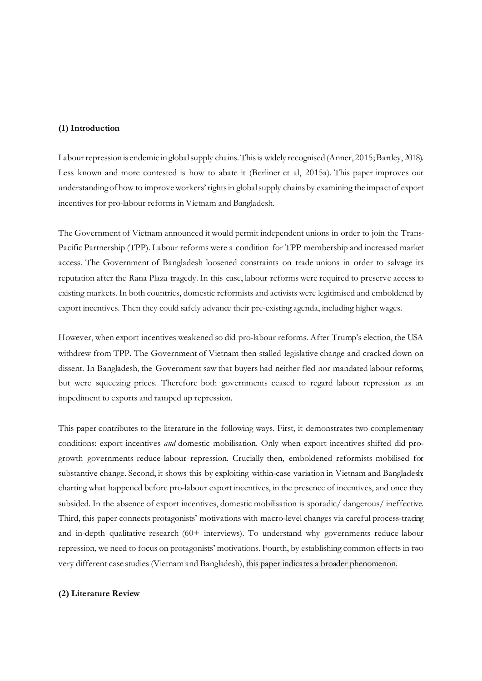# **(1) Introduction**

Labour repression is endemic in global supply chains. This is widely recognised (Anner, 2015; Bartley, 2018). Less known and more contested is how to abate it (Berliner et al, 2015a). This paper improves our understanding of how to improve workers' rights in global supply chains by examining the impact of export incentives for pro-labour reforms in Vietnam and Bangladesh.

The Government of Vietnam announced it would permit independent unions in order to join the Trans-Pacific Partnership (TPP). Labour reforms were a condition for TPP membership and increased market access. The Government of Bangladesh loosened constraints on trade unions in order to salvage its reputation after the Rana Plaza tragedy. In this case, labour reforms were required to preserve access to existing markets. In both countries, domestic reformists and activists were legitimised and emboldened by export incentives. Then they could safely advance their pre-existing agenda, including higher wages.

However, when export incentives weakened so did pro-labour reforms. After Trump's election, the USA withdrew from TPP. The Government of Vietnam then stalled legislative change and cracked down on dissent. In Bangladesh, the Government saw that buyers had neither fled nor mandated labour reforms, but were squeezing prices. Therefore both governments ceased to regard labour repression as an impediment to exports and ramped up repression.

This paper contributes to the literature in the following ways. First, it demonstrates two complementary conditions: export incentives *and* domestic mobilisation. Only when export incentives shifted did progrowth governments reduce labour repression. Crucially then, emboldened reformists mobilised for substantive change. Second, it shows this by exploiting within-case variation in Vietnam and Bangladesh: charting what happened before pro-labour export incentives, in the presence of incentives, and once they subsided. In the absence of export incentives, domestic mobilisation is sporadic/ dangerous/ ineffective. Third, this paper connects protagonists' motivations with macro-level changes via careful process-tracing and in-depth qualitative research (60+ interviews). To understand why governments reduce labour repression, we need to focus on protagonists' motivations. Fourth, by establishing common effects in two very different case studies (Vietnam and Bangladesh), this paper indicates a broader phenomenon.

## **(2) Literature Review**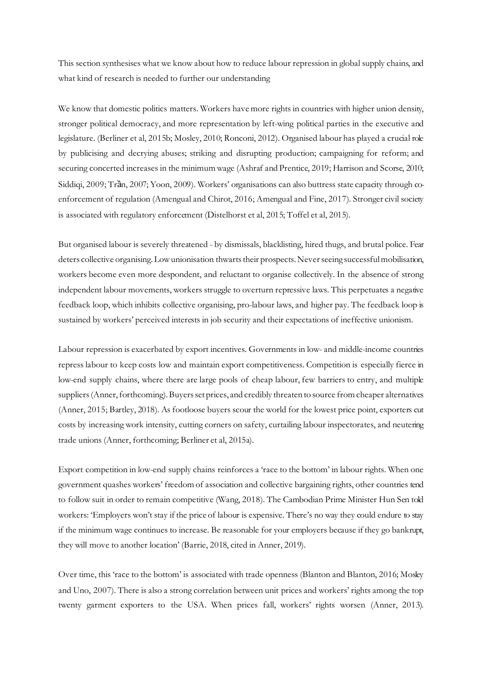This section synthesises what we know about how to reduce labour repression in global supply chains, and what kind of research is needed to further our understanding

We know that domestic politics matters. Workers have more rights in countries with higher union density, stronger political democracy, and more representation by left-wing political parties in the executive and legislature. (Berliner et al, 2015b; Mosley, 2010; Ronconi, 2012). Organised labour has played a crucial role by publicising and decrying abuses; striking and disrupting production; campaigning for reform; and securing concerted increases in the minimum wage (Ashraf and Prentice, 2019; Harrison and Scorse, 2010; Siddiqi, 2009; Trần, 2007; Yoon, 2009). Workers' organisations can also buttress state capacity through coenforcement of regulation (Amengual and Chirot, 2016; Amengual and Fine, 2017). Stronger civil society is associated with regulatory enforcement (Distelhorst et al, 2015; Toffel et al, 2015).

But organised labour is severely threatened - by dismissals, blacklisting, hired thugs, and brutal police. Fear deters collective organising. Low unionisation thwarts their prospects. Never seeing successful mobilisation, workers become even more despondent, and reluctant to organise collectively. In the absence of strong independent labour movements, workers struggle to overturn repressive laws. This perpetuates a negative feedback loop, which inhibits collective organising, pro-labour laws, and higher pay. The feedback loop is sustained by workers' perceived interests in job security and their expectations of ineffective unionism.

Labour repression is exacerbated by export incentives. Governments in low- and middle-income countries repress labour to keep costs low and maintain export competitiveness. Competition is especially fierce in low-end supply chains, where there are large pools of cheap labour, few barriers to entry, and multiple suppliers(Anner, forthcoming). Buyers set prices, and credibly threaten to source from cheaper alternatives (Anner, 2015; Bartley, 2018). As footloose buyers scour the world for the lowest price point, exporters cut costs by increasing work intensity, cutting corners on safety, curtailing labour inspectorates, and neutering trade unions (Anner, forthcoming; Berliner et al, 2015a).

Export competition in low-end supply chains reinforces a 'race to the bottom' in labour rights. When one government quashes workers' freedom of association and collective bargaining rights, other countries tend to follow suit in order to remain competitive (Wang, 2018). The Cambodian Prime Minister Hun Sen told workers: 'Employers won't stay if the price of labour is expensive. There's no way they could endure to stay if the minimum wage continues to increase. Be reasonable for your employers because if they go bankrupt, they will move to another location' (Barrie, 2018, cited in Anner, 2019).

Over time, this 'race to the bottom' is associated with trade openness (Blanton and Blanton, 2016; Mosley and Uno, 2007). There is also a strong correlation between unit prices and workers' rights among the top twenty garment exporters to the USA. When prices fall, workers' rights worsen (Anner, 2013).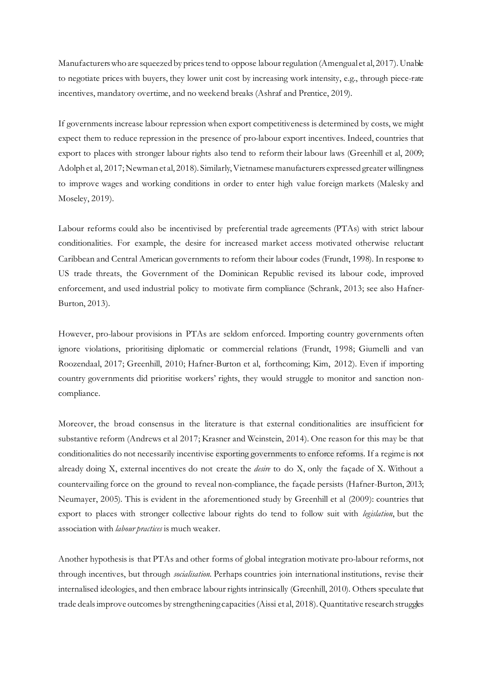Manufacturerswho are squeezed by prices tend to oppose labour regulation (Amengual et al, 2017). Unable to negotiate prices with buyers, they lower unit cost by increasing work intensity, e.g., through piece-rate incentives, mandatory overtime, and no weekend breaks (Ashraf and Prentice, 2019).

If governments increase labour repression when export competitiveness is determined by costs, we might expect them to reduce repression in the presence of pro-labour export incentives. Indeed, countries that export to places with stronger labour rights also tend to reform their labour laws (Greenhill et al, 2009; Adolph et al, 2017; Newman et al, 2018). Similarly, Vietnamese manufacturers expressed greater willingness to improve wages and working conditions in order to enter high value foreign markets (Malesky and Moseley, 2019).

Labour reforms could also be incentivised by preferential trade agreements (PTAs) with strict labour conditionalities. For example, the desire for increased market access motivated otherwise reluctant Caribbean and Central American governments to reform their labour codes (Frundt, 1998). In response to US trade threats, the Government of the Dominican Republic revised its labour code, improved enforcement, and used industrial policy to motivate firm compliance (Schrank, 2013; see also Hafner-Burton, 2013).

However, pro-labour provisions in PTAs are seldom enforced. Importing country governments often ignore violations, prioritising diplomatic or commercial relations (Frundt, 1998; Giumelli and van Roozendaal, 2017; Greenhill, 2010; Hafner-Burton et al, forthcoming; Kim, 2012). Even if importing country governments did prioritise workers' rights, they would struggle to monitor and sanction noncompliance.

Moreover, the broad consensus in the literature is that external conditionalities are insufficient for substantive reform (Andrews et al 2017; Krasner and Weinstein, 2014). One reason for this may be that conditionalities do not necessarily incentivise exporting governments to enforce reforms. If a regime is not already doing X, external incentives do not create the *desire* to do X, only the façade of X. Without a countervailing force on the ground to reveal non-compliance, the façade persists (Hafner-Burton, 2013; Neumayer, 2005). This is evident in the aforementioned study by Greenhill et al (2009): countries that export to places with stronger collective labour rights do tend to follow suit with *legislation*, but the association with *labour practices* is much weaker.

Another hypothesis is that PTAs and other forms of global integration motivate pro-labour reforms, not through incentives, but through *socialisation.* Perhaps countries join international institutions, revise their internalised ideologies, and then embrace labour rights intrinsically (Greenhill, 2010). Others speculate that trade deals improve outcomes by strengthening capacities (Aissi et al, 2018). Quantitative research struggles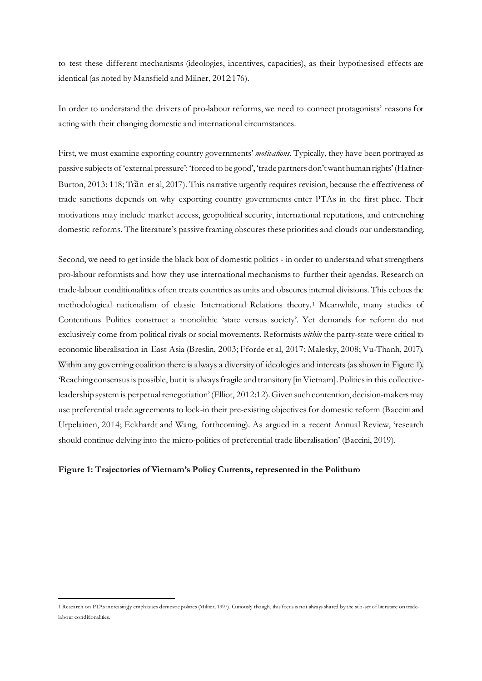to test these different mechanisms (ideologies, incentives, capacities), as their hypothesised effects are identical (as noted by Mansfield and Milner, 2012:176).

In order to understand the drivers of pro-labour reforms, we need to connect protagonists' reasons for acting with their changing domestic and international circumstances.

First, we must examine exporting country governments' *motivations*. Typically, they have been portrayed as passive subjects of 'external pressure': 'forced to be good', 'trade partners don't want human rights' (Hafner-Burton, 2013: 118; Trần et al, 2017). This narrative urgently requires revision, because the effectiveness of trade sanctions depends on why exporting country governments enter PTAs in the first place. Their motivations may include market access, geopolitical security, international reputations, and entrenching domestic reforms. The literature's passive framing obscures these priorities and clouds our understanding.

Second, we need to get inside the black box of domestic politics - in order to understand what strengthens pro-labour reformists and how they use international mechanisms to further their agendas. Research on trade-labour conditionalities often treats countries as units and obscures internal divisions. This echoes the methodological nationalism of classic International Relations theory.[1](#page-4-0) Meanwhile, many studies of Contentious Politics construct a monolithic 'state versus society'. Yet demands for reform do not exclusively come from political rivals or social movements. Reformists *within* the party-state were critical to economic liberalisation in East Asia (Breslin, 2003; Fforde et al, 2017; Malesky, 2008; Vu-Thanh, 2017). Within any governing coalition there is always a diversity of ideologies and interests (as shown in Figure 1). 'Reaching consensus is possible, but it is always fragile and transitory [in Vietnam]. Politics in this collectiveleadership system is perpetual renegotiation'(Elliot, 2012:12). Given such contention, decision-makers may use preferential trade agreements to lock-in their pre-existing objectives for domestic reform (Baccini and Urpelainen, 2014; Eckhardt and Wang, forthcoming). As argued in a recent Annual Review, 'research should continue delving into the micro-politics of preferential trade liberalisation' (Baccini, 2019).

## **Figure 1: Trajectories of Vietnam's Policy Currents, represented in the Politburo**

<span id="page-4-0"></span><sup>1</sup> Research on PTAs increasingly emphasises domestic politics (Milner, 1997). Curiously though, this focus is not always shared by the sub-set of literature on tradelabour conditionalities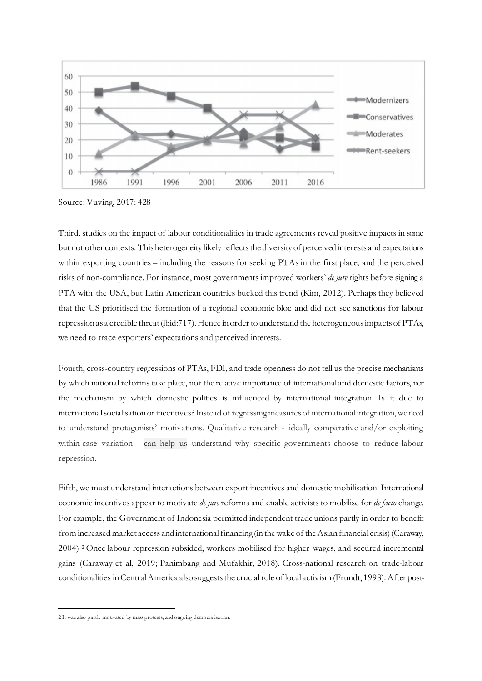

Source: Vuving, 2017: 428

Third, studies on the impact of labour conditionalities in trade agreements reveal positive impacts in some but not other contexts. This heterogeneity likely reflects the diversity of perceived interests and expectations within exporting countries – including the reasons for seeking PTAs in the first place, and the perceived risks of non-compliance. For instance, most governments improved workers' *de jure* rights before signing a PTA with the USA, but Latin American countries bucked this trend (Kim, 2012). Perhaps they believed that the US prioritised the formation of a regional economic bloc and did not see sanctions for labour repression as a credible threat (ibid:717). Hence in order to understand the heterogeneous impacts of PTAs, we need to trace exporters' expectations and perceived interests.

Fourth, cross-country regressions of PTAs, FDI, and trade openness do not tell us the precise mechanisms by which national reforms take place, nor the relative importance of international and domestic factors, nor the mechanism by which domestic politics is influenced by international integration. Is it due to international socialisation or incentives? Instead of regressing measures of international integration, we need to understand protagonists' motivations. Qualitative research - ideally comparative and/or exploiting within-case variation - can help us understand why specific governments choose to reduce labour repression.

Fifth, we must understand interactions between export incentives and domestic mobilisation. International economic incentives appear to motivate *de jure* reforms and enable activists to mobilise for *de facto* change. For example, the Government of Indonesia permitted independent trade unions partly in order to benefit from increased market access and international financing (in the wake of the Asian financial crisis) (Caraway, 2004).[2](#page-5-0) Once labour repression subsided, workers mobilised for higher wages, and secured incremental gains (Caraway et al, 2019; Panimbang and Mufakhir, 2018). Cross-national research on trade-labour conditionalities in Central America also suggests the crucial role of local activism (Frundt, 1998). After post-

<span id="page-5-0"></span><sup>2</sup> It was also partly motivated by mass protests, and ongoing democratisation.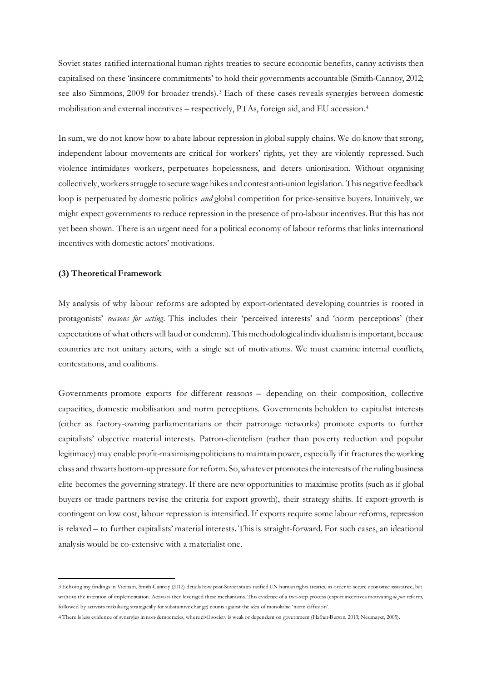Soviet states ratified international human rights treaties to secure economic benefits, canny activists then capitalised on these 'insincere commitments' to hold their governments accountable (Smith-Cannoy, 2012; see also Simmons, 2009 for broader trends).[3](#page-6-0) Each of these cases reveals synergies between domestic mobilisation and external incentives – respectively, PTAs, foreign aid, and EU accession.[4](#page-6-1)

In sum, we do not know how to abate labour repression in global supply chains. We do know that strong, independent labour movements are critical for workers' rights, yet they are violently repressed. Such violence intimidates workers, perpetuates hopelessness, and deters unionisation. Without organising collectively, workers struggle to secure wage hikes and contest anti-union legislation. This negative feedback loop is perpetuated by domestic politics *and* global competition for price-sensitive buyers. Intuitively, we might expect governments to reduce repression in the presence of pro-labour incentives. But this has not yet been shown. There is an urgent need for a political economy of labour reforms that links international incentives with domestic actors' motivations.

## **(3) Theoretical Framework**

My analysis of why labour reforms are adopted by export-orientated developing countries is rooted in protagonists' *reasons for acting*. This includes their 'perceived interests' and 'norm perceptions' (their expectations of what others will laud or condemn). This methodological individualism is important, because countries are not unitary actors, with a single set of motivations. We must examine internal conflicts, contestations, and coalitions.

Governments promote exports for different reasons – depending on their composition, collective capacities, domestic mobilisation and norm perceptions. Governments beholden to capitalist interests (either as factory-owning parliamentarians or their patronage networks) promote exports to further capitalists' objective material interests. Patron-clientelism (rather than poverty reduction and popular legitimacy) may enable profit-maximising politicians to maintain power, especially if it fractures the working class and thwarts bottom-up pressure for reform. So, whatever promotes the interests of the ruling business elite becomes the governing strategy. If there are new opportunities to maximise profits (such as if global buyers or trade partners revise the criteria for export growth), their strategy shifts. If export-growth is contingent on low cost, labour repression is intensified. If exports require some labour reforms, repression is relaxed – to further capitalists' material interests. This is straight-forward. For such cases, an ideational analysis would be co-extensive with a materialist one.

<span id="page-6-0"></span><sup>3</sup> Echoing my findings in Vietnam, Smith-Cannoy (2012) details how post-Soviet states ratified UN human rights treaties, in order to secure economic assistance, but without the intention of implementation. Activists then leveraged these mechanisms. This evidence of a two-step process (export incentives motivating *de jure* reform, followed by activists mobilising strategically for substantive change) counts against the idea of monolithic 'norm diffusion'.

<span id="page-6-1"></span><sup>4</sup> There is less evidence of synergies in non-democracies, where civil society is weak or dependent on government (Hafner-Burton, 2013; Neumayer, 2005).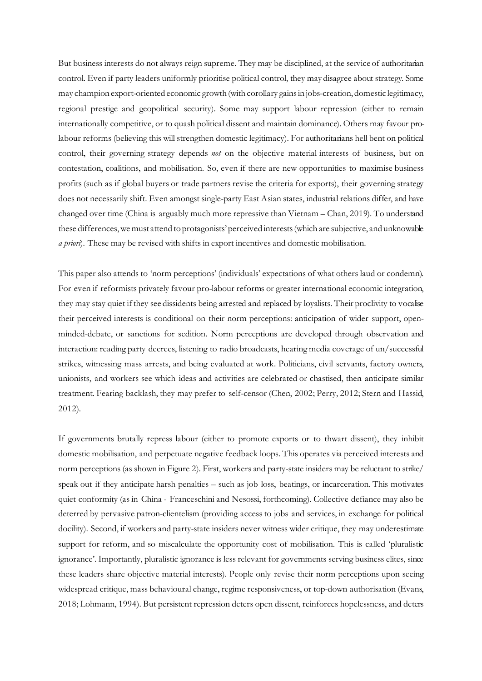But business interests do not always reign supreme. They may be disciplined, at the service of authoritarian control. Even if party leaders uniformly prioritise political control, they may disagree about strategy. Some may champion export-oriented economic growth (with corollary gains in jobs-creation, domestic legitimacy, regional prestige and geopolitical security). Some may support labour repression (either to remain internationally competitive, or to quash political dissent and maintain dominance). Others may favour prolabour reforms (believing this will strengthen domestic legitimacy). For authoritarians hell bent on political control, their governing strategy depends *not* on the objective material interests of business, but on contestation, coalitions, and mobilisation. So, even if there are new opportunities to maximise business profits (such as if global buyers or trade partners revise the criteria for exports), their governing strategy does not necessarily shift. Even amongst single-party East Asian states, industrial relations differ, and have changed over time (China is arguably much more repressive than Vietnam – Chan, 2019). To understand these differences, we must attend to protagonists' perceived interests(which are subjective, and unknowable *a priori*). These may be revised with shifts in export incentives and domestic mobilisation.

This paper also attends to 'norm perceptions' (individuals' expectations of what others laud or condemn). For even if reformists privately favour pro-labour reforms or greater international economic integration, they may stay quiet if they see dissidents being arrested and replaced by loyalists. Their proclivity to vocalise their perceived interests is conditional on their norm perceptions: anticipation of wider support, openminded-debate, or sanctions for sedition. Norm perceptions are developed through observation and interaction: reading party decrees, listening to radio broadcasts, hearing media coverage of un/successful strikes, witnessing mass arrests, and being evaluated at work. Politicians, civil servants, factory owners, unionists, and workers see which ideas and activities are celebrated or chastised, then anticipate similar treatment. Fearing backlash, they may prefer to self-censor (Chen, 2002; Perry, 2012; Stern and Hassid, 2012).

If governments brutally repress labour (either to promote exports or to thwart dissent), they inhibit domestic mobilisation, and perpetuate negative feedback loops. This operates via perceived interests and norm perceptions (as shown in Figure 2). First, workers and party-state insiders may be reluctant to strike/ speak out if they anticipate harsh penalties – such as job loss, beatings, or incarceration. This motivates quiet conformity (as in China - Franceschini and Nesossi, forthcoming). Collective defiance may also be deterred by pervasive patron-clientelism (providing access to jobs and services, in exchange for political docility). Second, if workers and party-state insiders never witness wider critique, they may underestimate support for reform, and so miscalculate the opportunity cost of mobilisation. This is called 'pluralistic ignorance'. Importantly, pluralistic ignorance is less relevant for governments serving business elites, since these leaders share objective material interests). People only revise their norm perceptions upon seeing widespread critique, mass behavioural change, regime responsiveness, or top-down authorisation (Evans, 2018; Lohmann, 1994). But persistent repression deters open dissent, reinforces hopelessness, and deters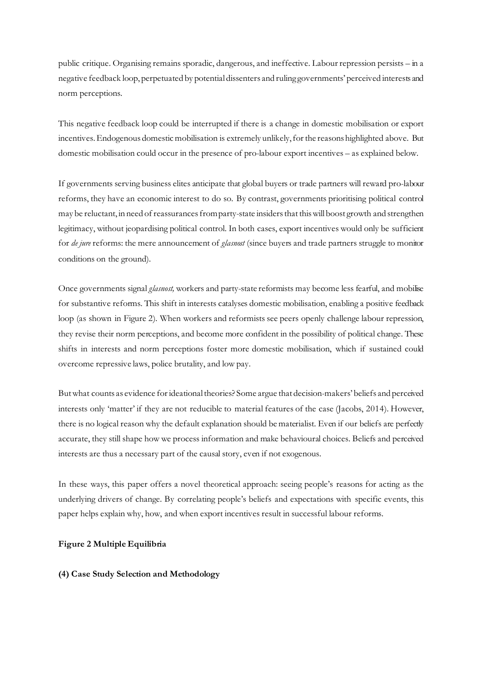public critique. Organising remains sporadic, dangerous, and ineffective. Labour repression persists – in a negative feedback loop, perpetuated by potential dissenters and ruling governments' perceived interests and norm perceptions.

This negative feedback loop could be interrupted if there is a change in domestic mobilisation or export incentives. Endogenous domestic mobilisation is extremely unlikely, for the reasons highlighted above. But domestic mobilisation could occur in the presence of pro-labour export incentives – as explained below.

If governments serving business elites anticipate that global buyers or trade partners will reward pro-labour reforms, they have an economic interest to do so. By contrast, governments prioritising political control may be reluctant, in need of reassurances from party-state insiders that this will boost growth and strengthen legitimacy, without jeopardising political control. In both cases, export incentives would only be sufficient for *de jure* reforms: the mere announcement of *glasnost* (since buyers and trade partners struggle to monitor conditions on the ground).

Once governments signal *glasnost,* workers and party-state reformists may become less fearful, and mobilise for substantive reforms. This shift in interests catalyses domestic mobilisation, enabling a positive feedback loop (as shown in Figure 2). When workers and reformists see peers openly challenge labour repression, they revise their norm perceptions, and become more confident in the possibility of political change. These shifts in interests and norm perceptions foster more domestic mobilisation, which if sustained could overcome repressive laws, police brutality, and low pay.

But what counts as evidence for ideational theories? Some argue that decision-makers' beliefs and perceived interests only 'matter' if they are not reducible to material features of the case (Jacobs, 2014). However, there is no logical reason why the default explanation should be materialist. Even if our beliefs are perfectly accurate, they still shape how we process information and make behavioural choices. Beliefs and perceived interests are thus a necessary part of the causal story, even if not exogenous.

In these ways, this paper offers a novel theoretical approach: seeing people's reasons for acting as the underlying drivers of change. By correlating people's beliefs and expectations with specific events, this paper helps explain why, how, and when export incentives result in successful labour reforms.

# **Figure 2 Multiple Equilibria**

#### **(4) Case Study Selection and Methodology**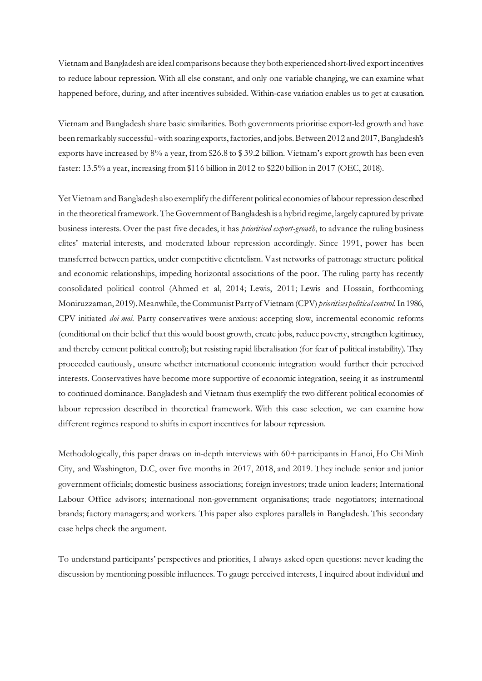Vietnam and Bangladesh are ideal comparisons because they both experienced short-lived exportincentives to reduce labour repression. With all else constant, and only one variable changing, we can examine what happened before, during, and after incentives subsided. Within-case variation enables us to get at causation.

Vietnam and Bangladesh share basic similarities. Both governments prioritise export-led growth and have been remarkably successful -with soaring exports, factories, and jobs. Between 2012 and 2017, Bangladesh's exports have increased by 8% a year, from \$26.8 to \$ 39.2 billion. Vietnam's export growth has been even faster: 13.5% a year, increasing from \$116 billion in 2012 to \$220 billion in 2017 (OEC, 2018).

Yet Vietnam and Bangladesh also exemplify the different political economies of labour repression described in the theoretical framework. The Government of Bangladesh is a hybrid regime, largely captured by private business interests. Over the past five decades, it has *prioritised export-growth*, to advance the ruling business elites' material interests, and moderated labour repression accordingly. Since 1991, power has been transferred between parties, under competitive clientelism. Vast networks of patronage structure political and economic relationships, impeding horizontal associations of the poor. The ruling party has recently consolidated political control (Ahmed et al, 2014; Lewis, 2011; Lewis and Hossain, forthcoming; Moniruzzaman, 2019). Meanwhile, the Communist Party of Vietnam (CPV) *prioritises political control*. In 1986, CPV initiated *doi moi*. Party conservatives were anxious: accepting slow, incremental economic reforms (conditional on their belief that this would boost growth, create jobs, reduce poverty, strengthen legitimacy, and thereby cement political control); but resisting rapid liberalisation (for fear of political instability). They proceeded cautiously, unsure whether international economic integration would further their perceived interests. Conservatives have become more supportive of economic integration, seeing it as instrumental to continued dominance. Bangladesh and Vietnam thus exemplify the two different political economies of labour repression described in theoretical framework. With this case selection, we can examine how different regimes respond to shifts in export incentives for labour repression.

Methodologically, this paper draws on in-depth interviews with 60+ participants in Hanoi, Ho Chi Minh City, and Washington, D.C, over five months in 2017, 2018, and 2019. They include senior and junior government officials; domestic business associations; foreign investors; trade union leaders; International Labour Office advisors; international non-government organisations; trade negotiators; international brands; factory managers; and workers. This paper also explores parallels in Bangladesh. This secondary case helps check the argument.

To understand participants' perspectives and priorities, I always asked open questions: never leading the discussion by mentioning possible influences. To gauge perceived interests, I inquired about individual and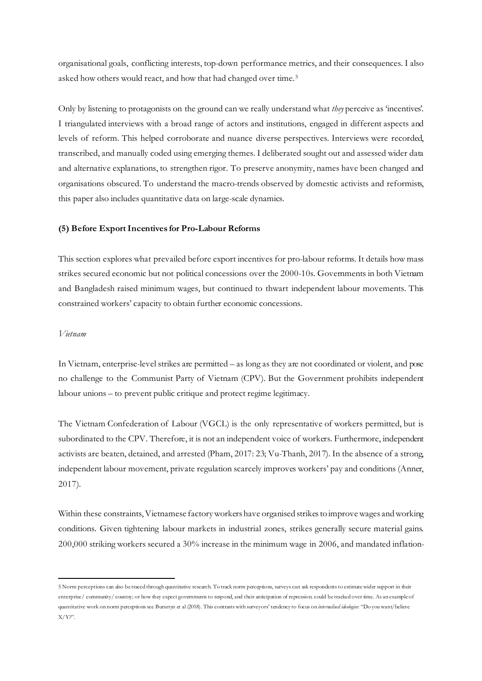organisational goals, conflicting interests, top-down performance metrics, and their consequences. I also asked how others would react, and how that had changed over time.<sup>[5](#page-10-0)</sup>

Only by listening to protagonists on the ground can we really understand what *they* perceive as 'incentives'. I triangulated interviews with a broad range of actors and institutions, engaged in different aspects and levels of reform. This helped corroborate and nuance diverse perspectives. Interviews were recorded, transcribed, and manually coded using emerging themes. I deliberated sought out and assessed wider data and alternative explanations, to strengthen rigor. To preserve anonymity, names have been changed and organisations obscured. To understand the macro-trends observed by domestic activists and reformists, this paper also includes quantitative data on large-scale dynamics.

#### **(5) Before Export Incentives for Pro-Labour Reforms**

This section explores what prevailed before export incentives for pro-labour reforms. It details how mass strikes secured economic but not political concessions over the 2000-10s. Governments in both Vietnam and Bangladesh raised minimum wages, but continued to thwart independent labour movements. This constrained workers' capacity to obtain further economic concessions.

#### *Vietnam*

In Vietnam, enterprise-level strikes are permitted – as long as they are not coordinated or violent, and pose no challenge to the Communist Party of Vietnam (CPV). But the Government prohibits independent labour unions – to prevent public critique and protect regime legitimacy.

The Vietnam Confederation of Labour (VGCL) is the only representative of workers permitted, but is subordinated to the CPV. Therefore, it is not an independent voice of workers. Furthermore, independent activists are beaten, detained, and arrested (Pham, 2017: 23; Vu-Thanh, 2017). In the absence of a strong, independent labour movement, private regulation scarcely improves workers' pay and conditions (Anner, 2017).

Within these constraints, Vietnamese factory workers have organised strikes to improve wages and working conditions. Given tightening labour markets in industrial zones, strikes generally secure material gains. 200,000 striking workers secured a 30% increase in the minimum wage in 2006, and mandated inflation-

<span id="page-10-0"></span><sup>5</sup> Norm perceptions can also be traced through quantitative research. To track norm perceptions, surveys can ask respondents to estimate wider support in their enterprise/ community/ country; or how they expect governments to respond, and their anticipation of repression. could be tracked over time. As an example of quantitative work on norm perceptions see Bursztyn et al (2018). This contrasts with surveyors' tendency to focus on *internalised ideologies*: "Do you want/believe  $X/Y$ ?".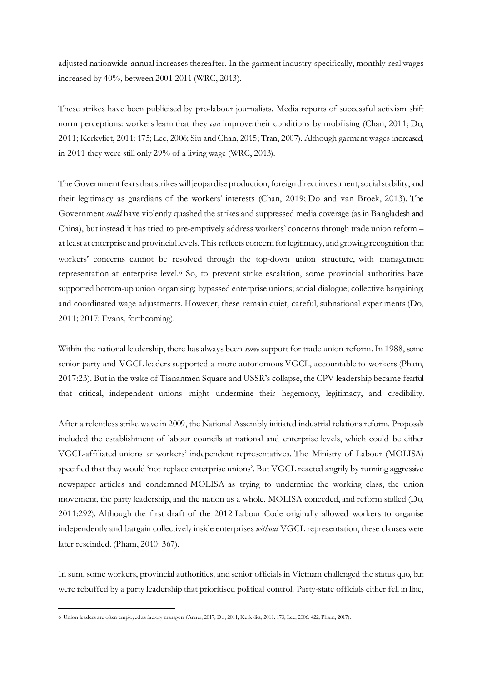adjusted nationwide annual increases thereafter. In the garment industry specifically, monthly real wages increased by 40%, between 2001-2011 (WRC, 2013).

These strikes have been publicised by pro-labour journalists. Media reports of successful activism shift norm perceptions: workers learn that they *can* improve their conditions by mobilising (Chan, 2011; Do, 2011; Kerkvliet, 2011: 175; Lee, 2006; Siu and Chan, 2015; Tran, 2007). Although garment wages increased, in 2011 they were still only 29% of a living wage (WRC, 2013).

The Government fears that strikes will jeopardise production, foreign direct investment, social stability, and their legitimacy as guardians of the workers' interests (Chan, 2019; Do and van Broek, 2013). The Government *could* have violently quashed the strikes and suppressed media coverage (as in Bangladesh and China), but instead it has tried to pre-emptively address workers' concerns through trade union reform – at least at enterprise and provincial levels. This reflects concern for legitimacy, and growing recognition that workers' concerns cannot be resolved through the top-down union structure, with management representation at enterprise level.[6](#page-11-0) So, to prevent strike escalation, some provincial authorities have supported bottom-up union organising; bypassed enterprise unions; social dialogue; collective bargaining; and coordinated wage adjustments. However, these remain quiet, careful, subnational experiments (Do, 2011; 2017; Evans, forthcoming).

Within the national leadership, there has always been *some* support for trade union reform. In 1988, some senior party and VGCL leaders supported a more autonomous VGCL, accountable to workers (Pham, 2017:23). But in the wake of Tiananmen Square and USSR's collapse, the CPV leadership became fearful that critical, independent unions might undermine their hegemony, legitimacy, and credibility.

After a relentless strike wave in 2009, the National Assembly initiated industrial relations reform. Proposals included the establishment of labour councils at national and enterprise levels, which could be either VGCL-affiliated unions *or* workers' independent representatives. The Ministry of Labour (MOLISA) specified that they would 'not replace enterprise unions'. But VGCL reacted angrily by running aggressive newspaper articles and condemned MOLISA as trying to undermine the working class, the union movement, the party leadership, and the nation as a whole. MOLISA conceded, and reform stalled (Do, 2011:292). Although the first draft of the 2012 Labour Code originally allowed workers to organise independently and bargain collectively inside enterprises *without* VGCL representation, these clauses were later rescinded. (Pham, 2010: 367).

In sum, some workers, provincial authorities, and senior officials in Vietnam challenged the status quo, but were rebuffed by a party leadership that prioritised political control. Party-state officials either fell in line,

<span id="page-11-0"></span><sup>6</sup> Union leaders are often employed as factory managers (Anner, 2017; Do, 2011; Kerkvliet, 2011: 173; Lee, 2006: 422; Pham, 2017).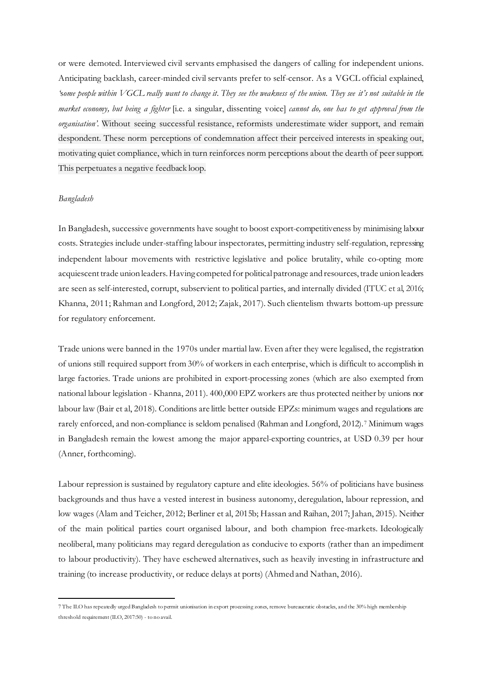or were demoted. Interviewed civil servants emphasised the dangers of calling for independent unions. Anticipating backlash, career-minded civil servants prefer to self-censor. As a VGCL official explained, *'*s*ome people within VGCL really want to change it. They see the weakness of the union. They see it's not suitable in the market economy, but being a fighter* [i.e. a singular, dissenting voice] *cannot do, one has to get approval from the organisation'.* Without seeing successful resistance, reformists underestimate wider support, and remain despondent. These norm perceptions of condemnation affect their perceived interests in speaking out, motivating quiet compliance, which in turn reinforces norm perceptions about the dearth of peersupport. This perpetuates a negative feedback loop.

## *Bangladesh*

In Bangladesh, successive governments have sought to boost export-competitiveness by minimising labour costs. Strategies include under-staffing labour inspectorates, permitting industry self-regulation, repressing independent labour movements with restrictive legislative and police brutality, while co-opting more acquiescent trade union leaders. Having competed for political patronage and resources, trade union leaders are seen as self-interested, corrupt, subservient to political parties, and internally divided (ITUC et al, 2016; Khanna, 2011; Rahman and Longford, 2012; Zajak, 2017). Such clientelism thwarts bottom-up pressure for regulatory enforcement.

Trade unions were banned in the 1970s under martial law. Even after they were legalised, the registration of unions still required support from 30% of workers in each enterprise, which is difficult to accomplish in large factories. Trade unions are prohibited in export-processing zones (which are also exempted from national labour legislation - Khanna, 2011). 400,000 EPZ workers are thus protected neither by unions nor labour law (Bair et al, 2018). Conditions are little better outside EPZs: minimum wages and regulations are rarely enforced, and non-compliance is seldom penalised (Rahman and Longford, 2012).[7](#page-12-0) Minimum wages in Bangladesh remain the lowest among the major apparel-exporting countries, at USD 0.39 per hour (Anner, forthcoming).

Labour repression is sustained by regulatory capture and elite ideologies. 56% of politicians have business backgrounds and thus have a vested interest in business autonomy, deregulation, labour repression, and low wages (Alam and Teicher, 2012; Berliner et al, 2015b; Hassan and Raihan, 2017; Jahan, 2015). Neither of the main political parties court organised labour, and both champion free-markets. Ideologically neoliberal, many politicians may regard deregulation as conducive to exports (rather than an impediment to labour productivity). They have eschewed alternatives, such as heavily investing in infrastructure and training (to increase productivity, or reduce delays at ports) (Ahmed and Nathan, 2016).

<span id="page-12-0"></span><sup>7</sup> The ILO has repeatedly urged Bangladesh to permit unionisation in export processing zones, remove bureaucratic obstacles, and the 30% high membership threshold requirement (ILO, 2017:50) - to no avail.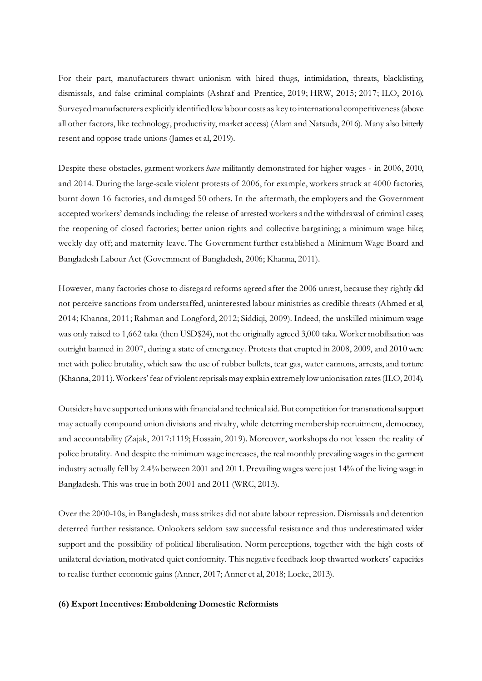For their part, manufacturers thwart unionism with hired thugs, intimidation, threats, blacklisting, dismissals, and false criminal complaints (Ashraf and Prentice, 2019; HRW, 2015; 2017; ILO, 2016). Surveyed manufacturers explicitly identified low labour costs as key to international competitiveness (above all other factors, like technology, productivity, market access) (Alam and Natsuda, 2016). Many also bitterly resent and oppose trade unions (James et al, 2019).

Despite these obstacles, garment workers *have* militantly demonstrated for higher wages - in 2006, 2010, and 2014. During the large-scale violent protests of 2006, for example, workers struck at 4000 factories, burnt down 16 factories, and damaged 50 others. In the aftermath, the employers and the Government accepted workers' demands including: the release of arrested workers and the withdrawal of criminal cases; the reopening of closed factories; better union rights and collective bargaining; a minimum wage hike; weekly day off; and maternity leave. The Government further established a Minimum Wage Board and Bangladesh Labour Act (Government of Bangladesh, 2006; Khanna, 2011).

However, many factories chose to disregard reforms agreed after the 2006 unrest, because they rightly did not perceive sanctions from understaffed, uninterested labour ministries as credible threats (Ahmed et al, 2014; Khanna, 2011; Rahman and Longford, 2012; Siddiqi, 2009). Indeed, the unskilled minimum wage was only raised to 1,662 taka (then USD\$24), not the originally agreed 3,000 taka. Worker mobilisation was outright banned in 2007, during a state of emergency. Protests that erupted in 2008, 2009, and 2010 were met with police brutality, which saw the use of rubber bullets, tear gas, water cannons, arrests, and torture (Khanna, 2011). Workers' fear of violent reprisals may explain extremely low unionisation rates (ILO, 2014).

Outsiders have supported unions with financial and technical aid. But competition for transnational support may actually compound union divisions and rivalry, while deterring membership recruitment, democracy, and accountability (Zajak, 2017:1119; Hossain, 2019). Moreover, workshops do not lessen the reality of police brutality. And despite the minimum wage increases, the real monthly prevailing wages in the garment industry actually fell by 2.4% between 2001 and 2011. Prevailing wages were just 14% of the living wage in Bangladesh. This was true in both 2001 and 2011 (WRC, 2013).

Over the 2000-10s, in Bangladesh, mass strikes did not abate labour repression. Dismissals and detention deterred further resistance. Onlookers seldom saw successful resistance and thus underestimated wider support and the possibility of political liberalisation. Norm perceptions, together with the high costs of unilateral deviation, motivated quiet conformity. This negative feedback loop thwarted workers' capacities to realise further economic gains (Anner, 2017; Anner et al, 2018; Locke, 2013).

#### **(6) ExportIncentives: Emboldening Domestic Reformists**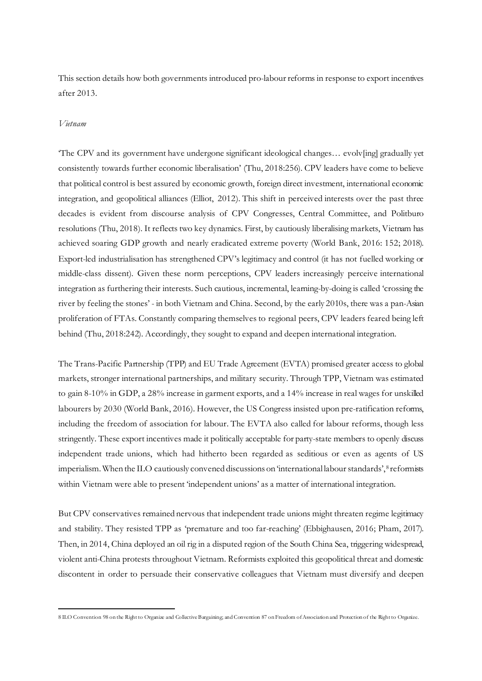This section details how both governments introduced pro-labour reforms in response to export incentives after 2013.

#### *Vietnam*

'The CPV and its government have undergone significant ideological changes… evolv[ing] gradually yet consistently towards further economic liberalisation' (Thu, 2018:256). CPV leaders have come to believe that political control is best assured by economic growth, foreign direct investment, international economic integration, and geopolitical alliances (Elliot, 2012). This shift in perceived interests over the past three decades is evident from discourse analysis of CPV Congresses, Central Committee, and Politburo resolutions (Thu, 2018). It reflects two key dynamics. First, by cautiously liberalising markets, Vietnam has achieved soaring GDP growth and nearly eradicated extreme poverty (World Bank, 2016: 152; 2018). Export-led industrialisation has strengthened CPV's legitimacy and control (it has not fuelled working or middle-class dissent). Given these norm perceptions, CPV leaders increasingly perceive international integration as furthering their interests. Such cautious, incremental, learning-by-doing is called 'crossing the river by feeling the stones' - in both Vietnam and China. Second, by the early 2010s, there was a pan-Asian proliferation of FTAs. Constantly comparing themselves to regional peers, CPV leaders feared being left behind (Thu, 2018:242). Accordingly, they sought to expand and deepen international integration.

The Trans-Pacific Partnership (TPP) and EU Trade Agreement (EVTA) promised greater access to global markets, stronger international partnerships, and military security. Through TPP, Vietnam was estimated to gain 8-10% in GDP, a 28% increase in garment exports, and a 14% increase in real wages for unskilled labourers by 2030 (World Bank, 2016). However, the US Congress insisted upon pre-ratification reforms, including the freedom of association for labour. The EVTA also called for labour reforms, though less stringently. These export incentives made it politically acceptable for party-state members to openly discuss independent trade unions, which had hitherto been regarded as seditious or even as agents of US imperialism. When the ILO cautiously convened discussions on 'international labour standards', <sup>[8](#page-14-0)</sup> reformists within Vietnam were able to present 'independent unions' as a matter of international integration.

But CPV conservatives remained nervous that independent trade unions might threaten regime legitimacy and stability. They resisted TPP as 'premature and too far-reaching' (Ebbighausen, 2016; Pham, 2017). Then, in 2014, China deployed an oil rig in a disputed region of the South China Sea, triggering widespread, violent anti-China protests throughout Vietnam. Reformists exploited this geopolitical threat and domestic discontent in order to persuade their conservative colleagues that Vietnam must diversify and deepen

<span id="page-14-0"></span><sup>8</sup> ILO Convention 98 on the Right to Organize and Collective Bargaining; and Convention 87 on Freedom of Association and Protection of the Right to Organize.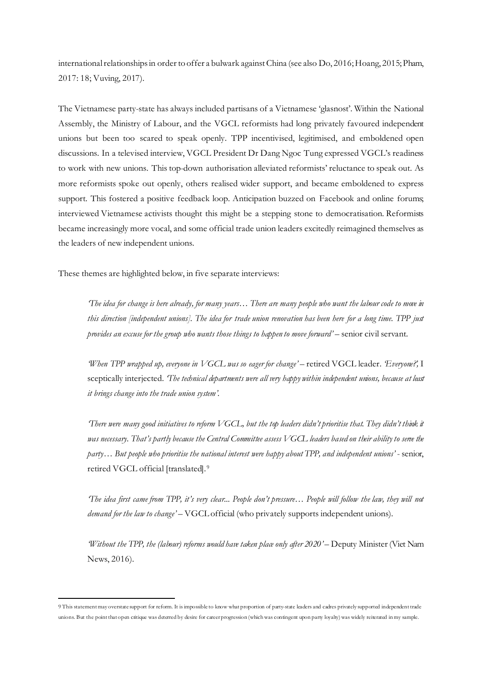international relationshipsin order to offer a bulwark againstChina (see also Do, 2016; Hoang, 2015; Pham, 2017: 18; Vuving, 2017).

The Vietnamese party-state has always included partisans of a Vietnamese 'glasnost'. Within the National Assembly, the Ministry of Labour, and the VGCL reformists had long privately favoured independent unions but been too scared to speak openly. TPP incentivised, legitimised, and emboldened open discussions. In a televised interview, VGCL President Dr Dang Ngoc Tung expressed VGCL's readiness to work with new unions. This top-down authorisation alleviated reformists' reluctance to speak out. As more reformists spoke out openly, others realised wider support, and became emboldened to express support. This fostered a positive feedback loop. Anticipation buzzed on Facebook and online forums; interviewed Vietnamese activists thought this might be a stepping stone to democratisation. Reformists became increasingly more vocal, and some official trade union leaders excitedly reimagined themselves as the leaders of new independent unions.

These themes are highlighted below, in five separate interviews:

*'The idea for change is here already, for many years… There are many people who want the labour code to move in this direction [independent unions]. The idea for trade union renovation has been here for a long time. TPP just provides an excuse for the group who wants those things to happen to move forward'* – senior civil servant.

*When TPP wrapped up, everyone in VGCL was so eager for change'* – retired VGCL leader. *'Everyone?*', I sceptically interjected. *'The technical departments were all very happy within independent unions, because at least it brings change into the trade union system'.*

*There were many good initiatives to reform VGCL, but the top leaders didn't prioritise that. They didn't think it* was necessary. That's partly because the Central Committee assess VGCL leaders based on their ability to sene the *party… But people who prioritise the national interest were happy about TPP, and independent unions'* - senior, retired VGCL official [translated].[9](#page-15-0)

*'The idea first came from TPP, it's very clear... People don't pressure… People will follow the law, they will not demand for the law to change'* – VGCL official (who privately supports independent unions).

*'Without the TPP, the (labour) reforms would have taken place only after 2020'* – Deputy Minister (Viet Nam News, 2016).

<span id="page-15-0"></span><sup>9</sup> This statement may overstate support for reform. It is impossible to know what proportion of party-state leaders and cadres privately supported independent trade unions. But the point that open critique was deterred by desire for career progression (which was contingent upon party loyalty) was widely reiterated in my sample.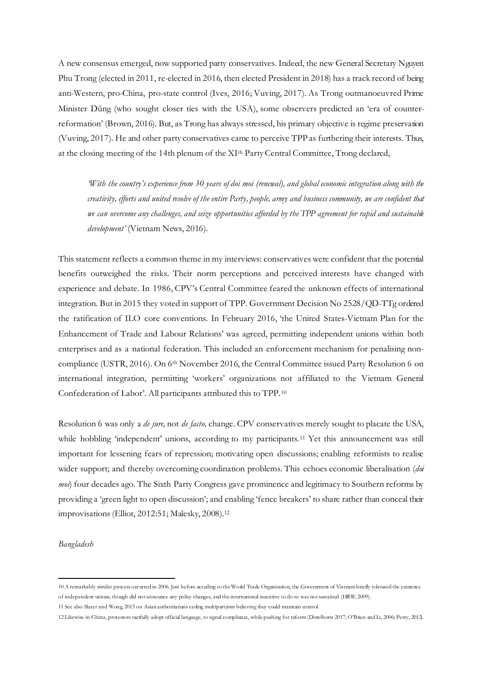A new consensus emerged, now supported party conservatives. Indeed, the new General Secretary Nguyen Phu Trong (elected in 2011, re-elected in 2016, then elected President in 2018) has a track record of being anti-Western, pro-China, pro-state control (Ives, 2016; Vuving, 2017). As Trong outmanoeuvred Prime Minister Dũng (who sought closer ties with the USA), some observers predicted an 'era of counterreformation' (Brown, 2016). But, as Trong has always stressed, his primary objective is regime preservation (Vuving, 2017). He and other party conservatives came to perceive TPP as furthering their interests. Thus, at the closing meeting of the 14th plenum of the XIth Party Central Committee, Trong declared,

*'With the country's experience from 30 years of doi moi (renewal), and global economic integration along with the creativity, efforts and united resolve of the entire Party, people, army and business community, we are confident that we can overcome any challenges, and seize opportunities afforded by the TPP agreement for rapid and sustainable development'* (Vietnam News, 2016).

This statement reflects a common theme in my interviews: conservatives were confident that the potential benefits outweighed the risks. Their norm perceptions and perceived interests have changed with experience and debate. In 1986, CPV's Central Committee feared the unknown effects of international integration. But in 2015 they voted in support of TPP. Government Decision No 2528/QD-TTg ordered the ratification of ILO core conventions. In February 2016, 'the United States-Vietnam Plan for the Enhancement of Trade and Labour Relations' was agreed, permitting independent unions within both enterprises and as a national federation. This included an enforcement mechanism for penalising noncompliance (USTR, 2016). On 6<sup>th</sup> November 2016, the Central Committee issued Party Resolution 6 on international integration, permitting 'workers' organizations not affiliated to the Vietnam General Confederation of Labor'. All participants attributed this to TPP.[10](#page-16-0)

Resolution 6 was only a *de jure,* not *de facto,* change. CPV conservatives merely sought to placate the USA, while hobbling 'independent' unions, according to my participants.<sup>[11](#page-16-1)</sup> Yet this announcement was still important for lessening fears of repression; motivating open discussions; enabling reformists to realise wider support; and thereby overcoming coordination problems. This echoes economic liberalisation (*doi moi*) four decades ago. The Sixth Party Congress gave prominence and legitimacy to Southern reforms by providing a 'green light to open discussion'; and enabling 'fence breakers' to share rather than conceal their improvisations (Elliot, 2012:51; Malesky, 2008).[12](#page-16-2)

*Bangladesh*

<span id="page-16-0"></span><sup>10</sup> A remarkably similar process occurred in 2006. Just before acceding to the World Trade Organisation, the Government of Vietnam briefly tolerated the existence of independent unions, though did not announce any policy changes, and the international incentive to do so was not sustained (HRW, 2009).

<span id="page-16-1"></span><sup>11</sup> See also Slater and Wong, 2013 on Asian authoritarians ceding multipartyism believing they could maintain control.

<span id="page-16-2"></span><sup>12</sup> Likewise in China, protestors tactfully adopt official language, to signal compliance, while pushing for reform (Distelhorst 2017; O'Brien and Li, 2006; Perry, 2012).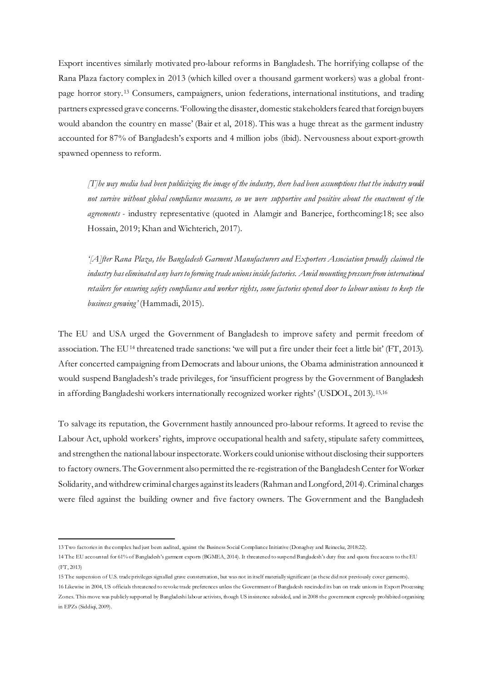Export incentives similarly motivated pro-labour reforms in Bangladesh. The horrifying collapse of the Rana Plaza factory complex in 2013 (which killed over a thousand garment workers) was a global frontpage horror story.[13](#page-17-0) Consumers, campaigners, union federations, international institutions, and trading partners expressed grave concerns. 'Following the disaster, domestic stakeholders feared that foreign buyers would abandon the country en masse' (Bair et al, 2018). This was a huge threat as the garment industry accounted for 87% of Bangladesh's exports and 4 million jobs (ibid). Nervousness about export-growth spawned openness to reform.

*[T]he way media had been publicizing the image of the industry, there had been assumptions that the industry would not survive without global compliance measures, so we were supportive and positive about the enactment of the agreements -* industry representative (quoted in Alamgir and Banerjee, forthcoming:18; see also Hossain, 2019; Khan and Wichterich, 2017).

*'[A]fter Rana Plaza, the Bangladesh Garment Manufacturers and Exporters Association proudly claimed the industry has eliminated any bars to forming trade unions inside factories. Amid mounting pressure from international retailers for ensuring safety compliance and worker rights, some factories opened door to labour unions to keep the business growing'* (Hammadi, 2015).

The EU and USA urged the Government of Bangladesh to improve safety and permit freedom of association. The EU[14](#page-17-1) threatened trade sanctions: 'we will put a fire under their feet a little bit' (FT, 2013). After concerted campaigning from Democrats and labour unions, the Obama administration announced it would suspend Bangladesh's trade privileges, for 'insufficient progress by the Government of Bangladesh in affording Bangladeshi workers internationally recognized worker rights' (USDOL, 2013).[15](#page-17-2),[16](#page-17-3)

To salvage its reputation, the Government hastily announced pro-labour reforms. It agreed to revise the Labour Act, uphold workers' rights, improve occupational health and safety, stipulate safety committees, and strengthen the national labour inspectorate. Workers could unionise without disclosing their supporters to factory owners. The Government also permitted the re-registration of the Bangladesh Center for Worker Solidarity, and withdrew criminal charges against its leaders (Rahman and Longford, 2014). Criminal charges were filed against the building owner and five factory owners. The Government and the Bangladesh

<span id="page-17-0"></span><sup>13</sup> Two factories in the complex had just been audited, against the Business Social Compliance Initiative (Donaghey and Reinecke, 2018:22).

<span id="page-17-1"></span><sup>14</sup> The EU accounted for 61% of Bangladesh's garment exports (BGMEA, 2014). It threatened to suspend Bangladesh's duty free and quota free access to the EU (FT, 2013)

<span id="page-17-3"></span><span id="page-17-2"></span><sup>15</sup> The suspension of U.S. trade privileges signalled grave consternation, but was not in itself materially significant (as these did not previously cover garments). 16 Likewise in 2004, US officials threatened to revoke trade preferences unless the Government of Bangladesh rescinded its ban on trade unions in Export Processing Zones. This move was publicly supported by Bangladeshi labour activists, though US insistence subsided, and in 2008 the government expressly prohibited organising in EPZs (Siddiqi, 2009).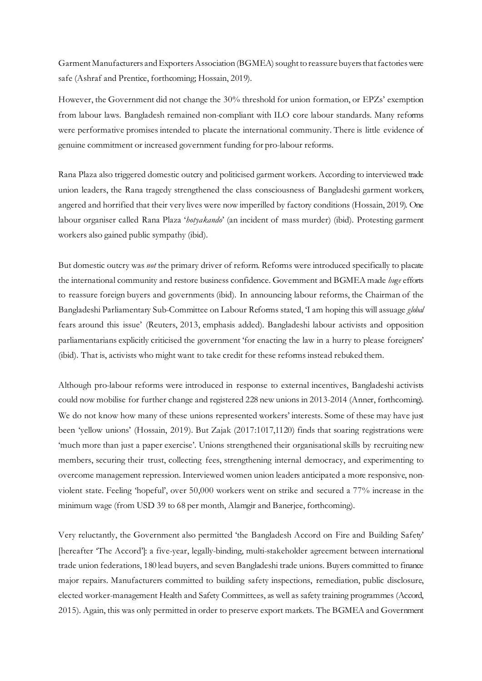Garment Manufacturers and Exporters Association (BGMEA) sought to reassure buyers that factories were safe (Ashraf and Prentice, forthcoming; Hossain, 2019).

However, the Government did not change the 30% threshold for union formation, or EPZs' exemption from labour laws. Bangladesh remained non-compliant with ILO core labour standards. Many reforms were performative promises intended to placate the international community. There is little evidence of genuine commitment or increased government funding for pro-labour reforms.

Rana Plaza also triggered domestic outcry and politicised garment workers. According to interviewed trade union leaders, the Rana tragedy strengthened the class consciousness of Bangladeshi garment workers, angered and horrified that their very lives were now imperilled by factory conditions (Hossain, 2019). One labour organiser called Rana Plaza '*hotyakando*' (an incident of mass murder) (ibid). Protesting garment workers also gained public sympathy (ibid).

But domestic outcry was *not* the primary driver of reform. Reforms were introduced specifically to placate the international community and restore business confidence. Government and BGMEA made *huge* efforts to reassure foreign buyers and governments (ibid). In announcing labour reforms, the Chairman of the Bangladeshi Parliamentary Sub-Committee on Labour Reforms stated, 'I am hoping this will assuage *global* fears around this issue' (Reuters, 2013, emphasis added). Bangladeshi labour activists and opposition parliamentarians explicitly criticised the government 'for enacting the law in a hurry to please foreigners' (ibid). That is, activists who might want to take credit for these reforms instead rebuked them.

Although pro-labour reforms were introduced in response to external incentives, Bangladeshi activists could now mobilise for further change and registered 228 new unions in 2013-2014 (Anner, forthcoming). We do not know how many of these unions represented workers' interests. Some of these may have just been 'yellow unions' (Hossain, 2019). But Zajak (2017:1017,1120) finds that soaring registrations were 'much more than just a paper exercise'. Unions strengthened their organisational skills by recruiting new members, securing their trust, collecting fees, strengthening internal democracy, and experimenting to overcome management repression. Interviewed women union leaders anticipated a more responsive, nonviolent state. Feeling 'hopeful', over 50,000 workers went on strike and secured a 77% increase in the minimum wage (from USD 39 to 68 per month, Alamgir and Banerjee, forthcoming).

Very reluctantly, the Government also permitted 'the Bangladesh Accord on Fire and Building Safety' [hereafter 'The Accord']: a five-year, legally-binding, multi-stakeholder agreement between international trade union federations, 180 lead buyers, and seven Bangladeshi trade unions. Buyers committed to finance major repairs. Manufacturers committed to building safety inspections, remediation, public disclosure, elected worker-management Health and Safety Committees, as well as safety training programmes (Accord, 2015). Again, this was only permitted in order to preserve export markets. The BGMEA and Government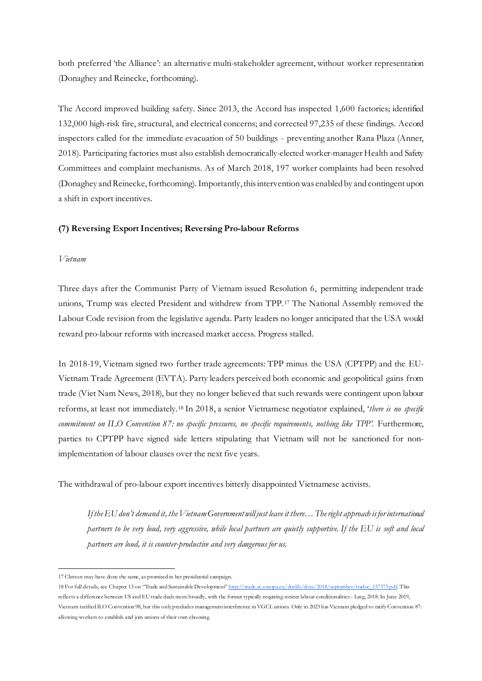both preferred 'the Alliance': an alternative multi-stakeholder agreement, without worker representation (Donaghey and Reinecke, forthcoming).

The Accord improved building safety. Since 2013, the Accord has inspected 1,600 factories; identified 132,000 high-risk fire, structural, and electrical concerns; and corrected 97,235 of these findings. Accord inspectors called for the immediate evacuation of 50 buildings - preventing another Rana Plaza (Anner, 2018). Participating factories must also establish democratically-elected worker-manager Health and Safety Committees and complaint mechanisms. As of March 2018, 197 worker complaints had been resolved (Donaghey and Reinecke, forthcoming). Importantly, this intervention was enabled by and contingent upon a shift in export incentives.

#### **(7) Reversing ExportIncentives; Reversing Pro-labour Reforms**

#### *Vietnam*

Three days after the Communist Party of Vietnam issued Resolution 6, permitting independent trade unions, Trump was elected President and withdrew from TPP.[17](#page-19-0) The National Assembly removed the Labour Code revision from the legislative agenda. Party leaders no longer anticipated that the USA would reward pro-labour reforms with increased market access. Progress stalled.

In 2018-19, Vietnam signed two further trade agreements: TPP minus the USA (CPTPP) and the EU-Vietnam Trade Agreement (EVTA). Party leaders perceived both economic and geopolitical gains from trade (Viet Nam News, 2018), but they no longer believed that such rewards were contingent upon labour reforms, at least not immediately.[18](#page-19-1) In 2018, a senior Vietnamese negotiator explained, '*there is no specific commitment on ILO Convention 87: no specific pressures, no specific requirements, nothing like TPP'*. Furthermore, parties to CPTPP have signed side letters stipulating that Vietnam will not be sanctioned for nonimplementation of labour clauses over the next five years.

The withdrawal of pro-labour export incentives bitterly disappointed Vietnamese activists.

*If the EU don't demand it, the Vietnam Government will just leave it there… The right approach is for international partners to be very loud, very aggressive, while local partners are quietly supportive. If the EU is soft and local partners are loud, it is counter-productive and very dangerous for us.*

<span id="page-19-0"></span><sup>17</sup> Clinton may have done the same, as promised in her presidential campaign.

<span id="page-19-1"></span><sup>18</sup> For full details, see Chapter 13 on "Trade and Sustainable Developmen[t" http://trade.ec.europa.eu/doclib/docs/2018/september/tradoc\\_157373.pdf.](http://trade.ec.europa.eu/doclib/docs/2018/september/tradoc_157373.pdf) This reflects a difference between US and EU trade deals more broadly, with the former typically requiring stricter labour conditionalities - Leeg, 2018. In June 2019, Vietnam ratified ILO Convention 98, but this only precludes management interference in VGCL unions. Only in 2023 has Vietnam pledged to ratify Convention 87: allowing workers to establish and join unions of their own choosing.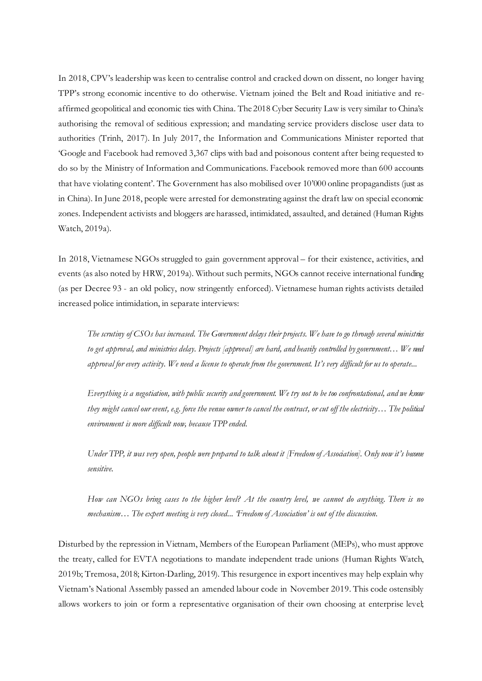In 2018, CPV's leadership was keen to centralise control and cracked down on dissent, no longer having TPP's strong economic incentive to do otherwise. Vietnam joined the Belt and Road initiative and reaffirmed geopolitical and economic ties with China. The 2018 Cyber Security Law is very similar to China's: authorising the removal of seditious expression; and mandating service providers disclose user data to authorities (Trinh, 2017). In July 2017, the Information and Communications Minister reported that 'Google and Facebook had removed 3,367 clips with bad and poisonous content after being requested to do so by the Ministry of Information and Communications. Facebook removed more than 600 accounts that have violating content'. The Government has also mobilised over 10'000 online propagandists (just as in China). In June 2018, people were arrested for demonstrating against the draft law on special economic zones. Independent activists and bloggers are harassed, intimidated, assaulted, and detained (Human Rights Watch, 2019a).

In 2018, Vietnamese NGOs struggled to gain government approval – for their existence, activities, and events (as also noted by HRW, 2019a). Without such permits, NGOs cannot receive international funding (as per Decree 93 - an old policy, now stringently enforced). Vietnamese human rights activists detailed increased police intimidation, in separate interviews:

*The scrutiny of CSOs has increased. The Government delays their projects. We have to go through several ministries to get approval, and ministries delay. Projects [approval] are hard, and heavily controlled by government… We need approval for every activity. We need a license to operate from the government. It's very difficult for us to operate...* 

*Everything is a negotiation, with public security and government. We try not to be too confrontational, and we know they might cancel our event, e.g. force the venue owner to cancel the contract, or cut off the electricity… The political environment is more difficult now, because TPP ended.*

*Under TPP, it was very open, people were prepared to talk about it [Freedom of Association]. Only now it's become sensitive.*

*How can NGOs bring cases to the higher level? At the country level, we cannot do anything. There is no mechanism… The expert meeting is very closed... 'Freedom of Association' is out of the discussion.*

Disturbed by the repression in Vietnam, Members of the European Parliament (MEPs), who must approve the treaty, called for EVTA negotiations to mandate independent trade unions (Human Rights Watch, 2019b; Tremosa, 2018; Kirton-Darling, 2019). This resurgence in export incentives may help explain why Vietnam's National Assembly passed an amended labour code in November 2019. This code ostensibly allows workers to join or form a representative organisation of their own choosing at enterprise level;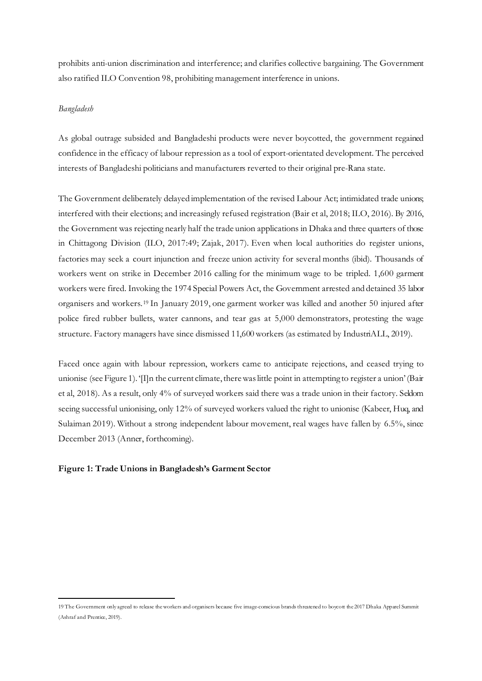prohibits anti-union discrimination and interference; and clarifies collective bargaining. The Government also ratified ILO Convention 98, prohibiting management interference in unions.

## *Bangladesh*

As global outrage subsided and Bangladeshi products were never boycotted, the government regained confidence in the efficacy of labour repression as a tool of export-orientated development. The perceived interests of Bangladeshi politicians and manufacturers reverted to their original pre-Rana state.

The Government deliberately delayed implementation of the revised Labour Act; intimidated trade unions; interfered with their elections; and increasingly refused registration (Bair et al, 2018; ILO, 2016). By 2016, the Government was rejecting nearly half the trade union applications in Dhaka and three quarters of those in Chittagong Division (ILO, 2017:49; Zajak, 2017). Even when local authorities do register unions, factories may seek a court injunction and freeze union activity for several months (ibid). Thousands of workers went on strike in December 2016 calling for the minimum wage to be tripled. 1,600 garment workers were fired. Invoking the 1974 Special Powers Act, the Government arrested and detained 35 labor organisers and workers.[19](#page-21-0) In January 2019, one garment worker was killed and another 50 injured after police fired rubber bullets, water cannons, and tear gas at 5,000 demonstrators, protesting the wage structure. Factory managers have since dismissed 11,600 workers (as estimated by IndustriALL, 2019).

Faced once again with labour repression, workers came to anticipate rejections, and ceased trying to unionise (see Figure 1). '[I]n the current climate, there was little point in attempting to register a union' (Bair et al, 2018). As a result, only 4% of surveyed workers said there was a trade union in their factory. Seldom seeing successful unionising, only 12% of surveyed workers valued the right to unionise (Kabeer, Huq, and Sulaiman 2019). Without a strong independent labour movement, real wages have fallen by 6.5%, since December 2013 (Anner, forthcoming).

#### **Figure 1: Trade Unions in Bangladesh's Garment Sector**

<span id="page-21-0"></span><sup>19</sup> The Government only agreed to release the workers and organisers because five image-conscious brands threatened to boycott the 2017 Dhaka Apparel Summit (Ashraf and Prentice, 2019).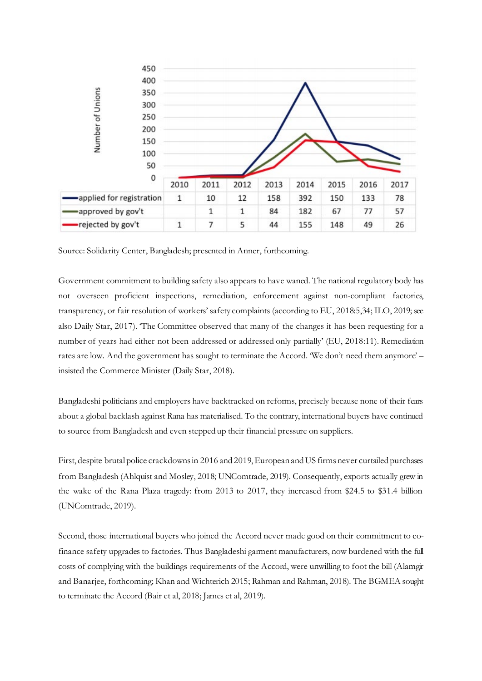

Source: Solidarity Center, Bangladesh; presented in Anner, forthcoming.

Government commitment to building safety also appears to have waned. The national regulatory body has not overseen proficient inspections, remediation, enforcement against non-compliant factories, transparency, or fair resolution of workers' safety complaints (according to EU, 2018:5,34; ILO, 2019; see also Daily Star, 2017). 'The Committee observed that many of the changes it has been requesting for a number of years had either not been addressed or addressed only partially' (EU, 2018:11). Remediation rates are low. And the government has sought to terminate the Accord. 'We don't need them anymore' – insisted the Commerce Minister (Daily Star, 2018).

Bangladeshi politicians and employers have backtracked on reforms, precisely because none of their fears about a global backlash against Rana has materialised. To the contrary, international buyers have continued to source from Bangladesh and even stepped up their financial pressure on suppliers.

First, despite brutal police crackdowns in 2016 and 2019, European and US firms never curtailed purchases from Bangladesh (Ahlquist and Mosley, 2018; UNComtrade, 2019). Consequently, exports actually grew in the wake of the Rana Plaza tragedy: from 2013 to 2017, they increased from \$24.5 to \$31.4 billion (UNComtrade, 2019).

Second, those international buyers who joined the Accord never made good on their commitment to cofinance safety upgrades to factories. Thus Bangladeshi garment manufacturers, now burdened with the full costs of complying with the buildings requirements of the Accord, were unwilling to foot the bill (Alamgir and Banarjee, forthcoming; Khan and Wichterich 2015; Rahman and Rahman, 2018). The BGMEA sought to terminate the Accord (Bair et al, 2018; James et al, 2019).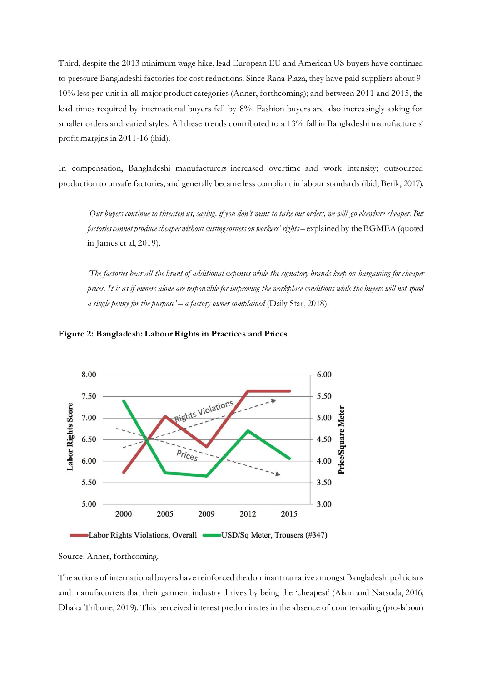Third, despite the 2013 minimum wage hike, lead European EU and American US buyers have continued to pressure Bangladeshi factories for cost reductions. Since Rana Plaza, they have paid suppliers about 9- 10% less per unit in all major product categories (Anner, forthcoming); and between 2011 and 2015, the lead times required by international buyers fell by 8%. Fashion buyers are also increasingly asking for smaller orders and varied styles. All these trends contributed to a 13% fall in Bangladeshi manufacturers' profit margins in 2011-16 (ibid).

In compensation, Bangladeshi manufacturers increased overtime and work intensity; outsourced production to unsafe factories; and generally became less compliant in labour standards (ibid; Berik, 2017).

*'Our buyers continue to threaten us, saying, if you don't want to take our orders, we will go elsewhere cheaper. But factories cannot produce cheaper without cutting corners on workers' rights* – explained by the BGMEA (quoted in James et al, 2019).

*'The factories bear all the brunt of additional expenses while the signatory brands keep on bargaining for cheaper prices. It is as if owners alone are responsible for improving the workplace conditions while the buyers will not spend a single penny for the purpose' – a factory owner complained* (Daily Star, 2018).



#### **Figure 2: Bangladesh: Labour Rights in Practices and Prices**

Source: Anner, forthcoming.

The actions of international buyers have reinforced the dominant narrative amongst Bangladeshi politicians and manufacturers that their garment industry thrives by being the 'cheapest' (Alam and Natsuda, 2016; Dhaka Tribune, 2019). This perceived interest predominates in the absence of countervailing (pro-labour)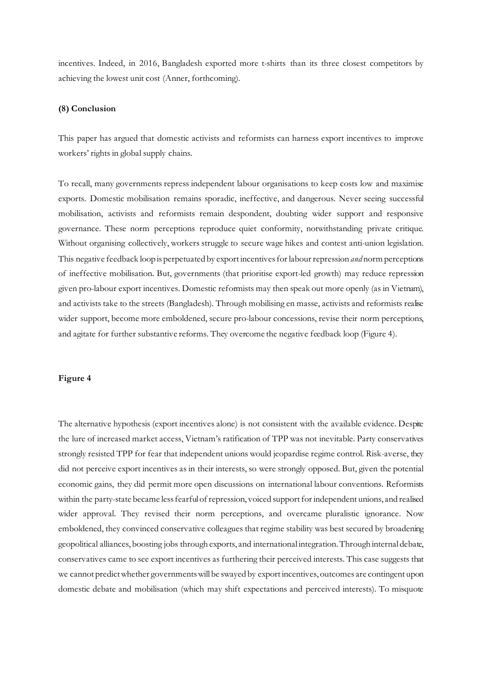incentives. Indeed, in 2016, Bangladesh exported more t-shirts than its three closest competitors by achieving the lowest unit cost (Anner, forthcoming).

#### **(8) Conclusion**

This paper has argued that domestic activists and reformists can harness export incentives to improve workers' rights in global supply chains.

To recall, many governments repress independent labour organisations to keep costs low and maximise exports. Domestic mobilisation remains sporadic, ineffective, and dangerous. Never seeing successful mobilisation, activists and reformists remain despondent, doubting wider support and responsive governance. These norm perceptions reproduce quiet conformity, notwithstanding private critique. Without organising collectively, workers struggle to secure wage hikes and contest anti-union legislation. This negative feedback loop is perpetuated by export incentives for labour repression *and* norm perceptions of ineffective mobilisation. But, governments (that prioritise export-led growth) may reduce repression given pro-labour export incentives. Domestic reformists may then speak out more openly (as in Vietnam), and activists take to the streets (Bangladesh). Through mobilising en masse, activists and reformists realise wider support, become more emboldened, secure pro-labour concessions, revise their norm perceptions, and agitate for further substantive reforms. They overcome the negative feedback loop (Figure 4).

#### **Figure 4**

The alternative hypothesis (export incentives alone) is not consistent with the available evidence. Despite the lure of increased market access, Vietnam's ratification of TPP was not inevitable. Party conservatives strongly resisted TPP for fear that independent unions would jeopardise regime control. Risk-averse, they did not perceive export incentives as in their interests, so were strongly opposed. But, given the potential economic gains, they did permit more open discussions on international labour conventions. Reformists within the party-state became less fearful of repression, voiced support for independent unions, and realised wider approval. They revised their norm perceptions, and overcame pluralistic ignorance. Now emboldened, they convinced conservative colleagues that regime stability was best secured by broadening geopolitical alliances, boosting jobs through exports, and international integration. Through internal debate, conservatives came to see export incentives as furthering their perceived interests. This case suggests that we cannot predict whether governments will be swayed by export incentives, outcomes are contingent upon domestic debate and mobilisation (which may shift expectations and perceived interests). To misquote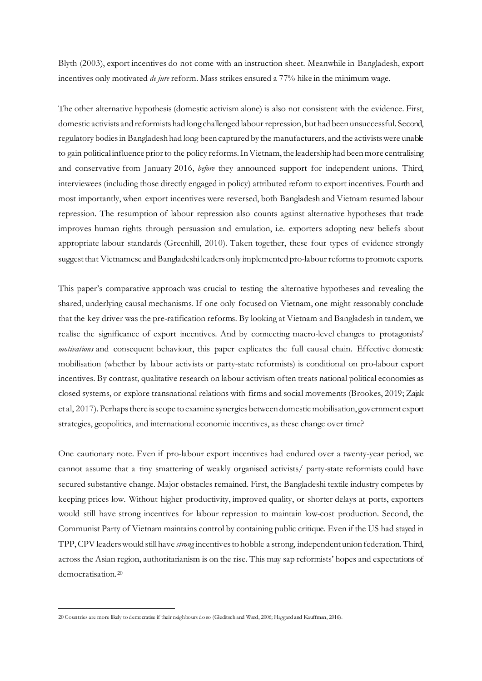Blyth (2003), export incentives do not come with an instruction sheet. Meanwhile in Bangladesh, export incentives only motivated *de jure* reform. Mass strikes ensured a 77% hike in the minimum wage.

The other alternative hypothesis (domestic activism alone) is also not consistent with the evidence. First, domestic activists and reformists had long challenged labour repression, but had been unsuccessful. Second, regulatory bodies in Bangladesh had long been captured by the manufacturers, and the activists were unable to gain political influence prior to the policy reforms. In Vietnam, the leadership had beenmore centralising and conservative from January 2016, *before* they announced support for independent unions. Third, interviewees (including those directly engaged in policy) attributed reform to export incentives. Fourth and most importantly, when export incentives were reversed, both Bangladesh and Vietnam resumed labour repression. The resumption of labour repression also counts against alternative hypotheses that trade improves human rights through persuasion and emulation, i.e. exporters adopting new beliefs about appropriate labour standards (Greenhill, 2010). Taken together, these four types of evidence strongly suggest that Vietnamese and Bangladeshi leaders only implemented pro-labour reforms to promote exports.

This paper's comparative approach was crucial to testing the alternative hypotheses and revealing the shared, underlying causal mechanisms. If one only focused on Vietnam, one might reasonably conclude that the key driver was the pre-ratification reforms. By looking at Vietnam and Bangladesh in tandem, we realise the significance of export incentives. And by connecting macro-level changes to protagonists' *motivations* and consequent behaviour, this paper explicates the full causal chain. Effective domestic mobilisation (whether by labour activists or party-state reformists) is conditional on pro-labour export incentives. By contrast, qualitative research on labour activism often treats national political economies as closed systems, or explore transnational relations with firms and social movements (Brookes, 2019; Zajak et al, 2017). Perhaps there is scope to examine synergies between domestic mobilisation, government export strategies, geopolitics, and international economic incentives, as these change over time?

One cautionary note. Even if pro-labour export incentives had endured over a twenty-year period, we cannot assume that a tiny smattering of weakly organised activists/ party-state reformists could have secured substantive change. Major obstacles remained. First, the Bangladeshi textile industry competes by keeping prices low. Without higher productivity, improved quality, or shorter delays at ports, exporters would still have strong incentives for labour repression to maintain low-cost production. Second, the Communist Party of Vietnam maintains control by containing public critique. Even if the US had stayed in TPP, CPV leaders would still have *strong* incentives to hobble a strong, independent union federation. Third, across the Asian region, authoritarianism is on the rise. This may sap reformists' hopes and expectations of democratisation.[20](#page-25-0)

<span id="page-25-0"></span><sup>20</sup> Countries are more likely to democratise if their neighbours do so (Gleditsch and Ward, 2006; Haggard and Kauffman, 2016).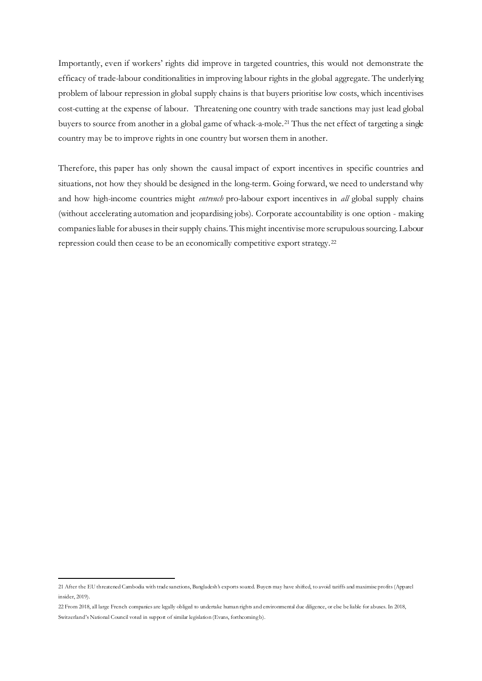Importantly, even if workers' rights did improve in targeted countries, this would not demonstrate the efficacy of trade-labour conditionalities in improving labour rights in the global aggregate. The underlying problem of labour repression in global supply chains is that buyers prioritise low costs, which incentivises cost-cutting at the expense of labour. Threatening one country with trade sanctions may just lead global buyers to source from another in a global game of whack-a-mole.[21](#page-26-0) Thus the net effect of targeting a single country may be to improve rights in one country but worsen them in another.

Therefore, this paper has only shown the causal impact of export incentives in specific countries and situations, not how they should be designed in the long-term. Going forward, we need to understand why and how high-income countries might *entrench* pro-labour export incentives in *all* global supply chains (without accelerating automation and jeopardising jobs). Corporate accountability is one option - making companies liable for abuses in their supply chains. This might incentivise more scrupulous sourcing. Labour repression could then cease to be an economically competitive export strategy.[22](#page-26-1)

<span id="page-26-0"></span><sup>21</sup> After the EU threatened Cambodia with trade sanctions, Bangladesh's exports soared. Buyers may have shifted, to avoid tariffs and maximise profits (Apparel insider, 2019).

<span id="page-26-1"></span><sup>22</sup> From 2018, all large French companies are legally obliged to undertake human rights and environmental due diligence, or else be liable for abuses. In 2018, Switzerland's National Council voted in support of similar legislation (Evans, forthcomingb).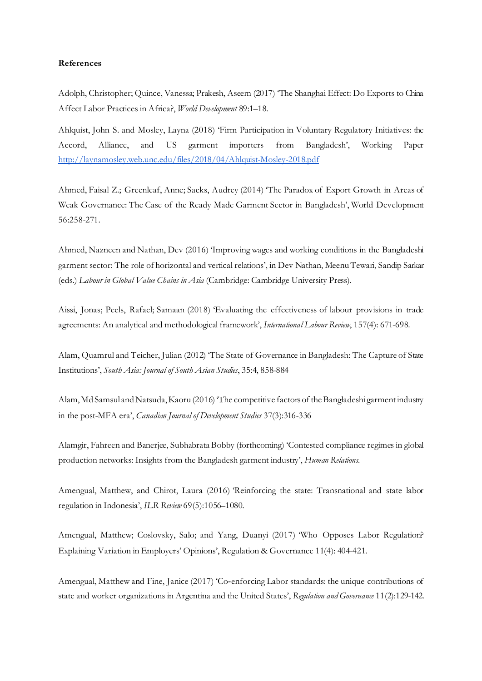# **References**

Adolph, Christopher; Quince, Vanessa; Prakesh, Aseem (2017) 'The Shanghai Effect: Do Exports to China Affect Labor Practices in Africa?, *World Development* 89:1–18.

Ahlquist, John S. and Mosley, Layna (2018) 'Firm Participation in Voluntary Regulatory Initiatives: the Accord, Alliance, and US garment importers from Bangladesh', Working Paper <http://laynamosley.web.unc.edu/files/2018/04/Ahlquist-Mosley-2018.pdf>

Ahmed, Faisal Z.; Greenleaf, Anne; Sacks, Audrey (2014) 'The Paradox of Export Growth in Areas of Weak Governance: The Case of the Ready Made Garment Sector in Bangladesh', World Development 56:258-271.

Ahmed, Nazneen and Nathan, Dev (2016) 'Improving wages and working conditions in the Bangladeshi garment sector: The role of horizontal and vertical relations', in Dev Nathan, Meenu Tewari, Sandip Sarkar (eds.) *Labour in Global Value Chains in Asia* (Cambridge: Cambridge University Press).

Aissi, Jonas; Peels, Rafael; Samaan (2018) 'Evaluating the effectiveness of labour provisions in trade agreements: An analytical and methodological framework', *International Labour Review*, 157(4): 671-698.

Alam, Quamrul and Teicher, Julian (2012) 'The State of Governance in Bangladesh: The Capture of State Institutions', *South Asia: Journal of South Asian Studies*, 35:4, 858-884

Alam, Md Samsul and Natsuda, Kaoru (2016) 'The competitive factors of the Bangladeshi garment industry in the post-MFA era', *Canadian Journal of Development Studies* 37(3):316-336

Alamgir, Fahreen and Banerjee, Subhabrata Bobby (forthcoming) 'Contested compliance regimes in global production networks: Insights from the Bangladesh garment industry', *Human Relations.*

Amengual, Matthew, and Chirot, Laura (2016) 'Reinforcing the state: Transnational and state labor regulation in Indonesia', *ILR Review* 69(5):1056–1080.

Amengual, Matthew; Coslovsky, Salo; and Yang, Duanyi (2017) 'Who Opposes Labor Regulation? Explaining Variation in Employers' Opinions', Regulation & Governance 11(4): 404-421.

Amengual, Matthew and Fine, Janice (2017) 'Co-enforcing Labor standards: the unique contributions of state and worker organizations in Argentina and the United States', *Regulation and Governance* 11(2):129-142.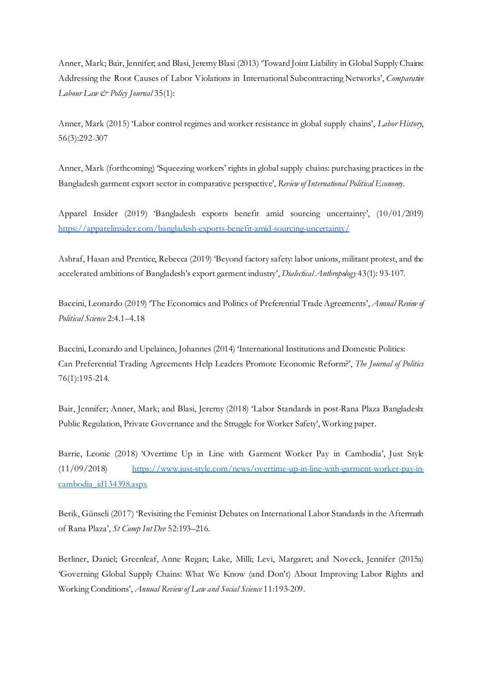Anner, Mark; Bair, Jennifer; and Blasi, Jeremy Blasi (2013) 'Toward Joint Liability in Global Supply Chains: Addressing the Root Causes of Labor Violations in International Subcontracting Networks', *Comparative Labour Law & Policy Journal* 35(1):

Anner, Mark (2015) 'Labor control regimes and worker resistance in global supply chains', *Labor History*, 56(3):292-307

Anner, Mark (forthcoming) 'Squeezing workers' rights in global supply chains: purchasing practices in the Bangladesh garment export sector in comparative perspective', *Review of International Political Economy.*

Apparel Insider (2019) 'Bangladesh exports benefit amid sourcing uncertainty', (10/01/2019) <https://apparelinsider.com/bangladesh-exports-benefit-amid-sourcing-uncertainty/>

Ashraf, Hasan and Prentice, Rebecca (2019) 'Beyond factory safety: labor unions, militant protest, and the accelerated ambitions of Bangladesh's export garment industry', *Dialectical Anthropology* 43(1): 93-107.

Baccini, Leonardo (2019) 'The Economics and Politics of Preferential Trade Agreements', *Annual Review of Political Science* 2:4.1–4.18

Baccini, Leonardo and Upelainen, Johannes (2014) 'International Institutions and Domestic Politics: Can Preferential Trading Agreements Help Leaders Promote Economic Reform?', *The Journal of Politics* 76(1):195-214.

Bair, Jennifer; Anner, Mark; and Blasi, Jeremy (2018) 'Labor Standards in post-Rana Plaza Bangladesh: Public Regulation, Private Governance and the Struggle for Worker Safety', Working paper.

Barrie, Leonie (2018) 'Overtime Up in Line with Garment Worker Pay in Cambodia', Just Style (11/09/2018) [https://www.just-style.com/news/overtime-up-in-line-with-garment-worker-pay-in](https://www.just-style.com/news/overtime-up-in-line-with-garment-worker-pay-in-cambodia_id134398.aspx)[cambodia\\_id134398.aspx](https://www.just-style.com/news/overtime-up-in-line-with-garment-worker-pay-in-cambodia_id134398.aspx)

Berik, Günseli (2017) 'Revisiting the Feminist Debates on International Labor Standards in the Aftermath of Rana Plaza', *St Comp Int Dev* 52:193–216.

Berliner, Daniel; Greenleaf, Anne Regan; Lake, Milli; Levi, Margaret; and Noveck, Jennifer (2015a) 'Governing Global Supply Chains: What We Know (and Don't) About Improving Labor Rights and Working Conditions', *Annual Review of Law and Social Science* 11:193-209.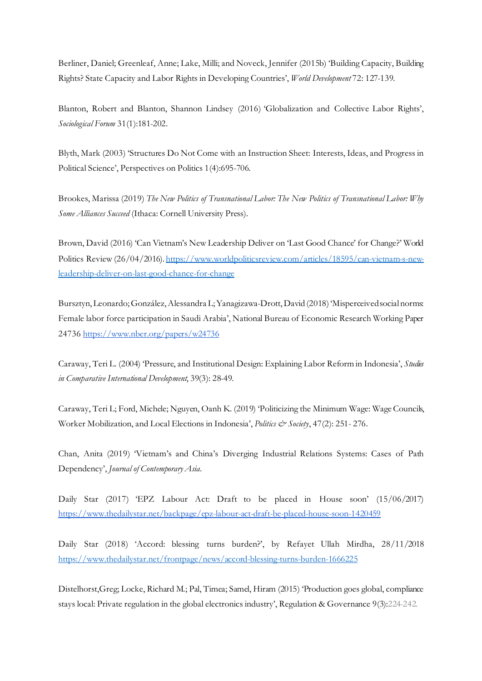Berliner, Daniel; Greenleaf, Anne; Lake, Milli; and Noveck, Jennifer (2015b) 'Building Capacity, Building Rights? State Capacity and Labor Rights in Developing Countries', *World Development* 72: 127-139.

Blanton, Robert and Blanton, Shannon Lindsey (2016) 'Globalization and Collective Labor Rights', *Sociological Forum* 31(1):181-202.

Blyth, Mark (2003) 'Structures Do Not Come with an Instruction Sheet: Interests, Ideas, and Progress in Political Science', Perspectives on Politics 1(4):695-706.

Brookes, Marissa (2019) *The New Politics of Transnational Labor: The New Politics of Transnational Labor: Why Some Alliances Succeed* (Ithaca: Cornell University Press).

Brown, David (2016) 'Can Vietnam's New Leadership Deliver on 'Last Good Chance' for Change?' World Politics Review (26/04/2016). [https://www.worldpoliticsreview.com/articles/18595/can-vietnam-s-new](https://www.worldpoliticsreview.com/articles/18595/can-vietnam-s-new-leadership-deliver-on-last-good-chance-for-change)[leadership-deliver-on-last-good-chance-for-change](https://www.worldpoliticsreview.com/articles/18595/can-vietnam-s-new-leadership-deliver-on-last-good-chance-for-change)

Bursztyn, Leonardo; González, Alessandra L; Yanagizawa-Drott, David (2018) 'Misperceived social norms: Female labor force participation in Saudi Arabia', National Bureau of Economic Research Working Paper 2473[6 https://www.nber.org/papers/w24736](https://www.nber.org/papers/w24736)

Caraway, Teri L. (2004) 'Pressure, and Institutional Design: Explaining Labor Reform in Indonesia', *Studies in Comparative International Development*, 39(3): 28-49.

Caraway, Teri L; Ford, Michele; Nguyen, Oanh K. (2019) 'Politicizing the Minimum Wage: Wage Councils, Worker Mobilization, and Local Elections in Indonesia', *Politics & Society*, 47(2): 251- 276.

Chan, Anita (2019) 'Vietnam's and China's Diverging Industrial Relations Systems: Cases of Path Dependency', *Journal of Contemporary Asia.*

Daily Star (2017) 'EPZ Labour Act: Draft to be placed in House soon' (15/06/2017) <https://www.thedailystar.net/backpage/epz-labour-act-draft-be-placed-house-soon-1420459>

Daily Star (2018) 'Accord: blessing turns burden?', by Refayet Ullah Mirdha, 28/11/2018 <https://www.thedailystar.net/frontpage/news/accord-blessing-turns-burden-1666225>

Distelhorst,Greg; Locke, Richard M.; Pal, Timea; Samel, Hiram (2015) 'Production goes global, compliance stays local: Private regulation in the global electronics industry', Regulation & Governance 9(3):224-242.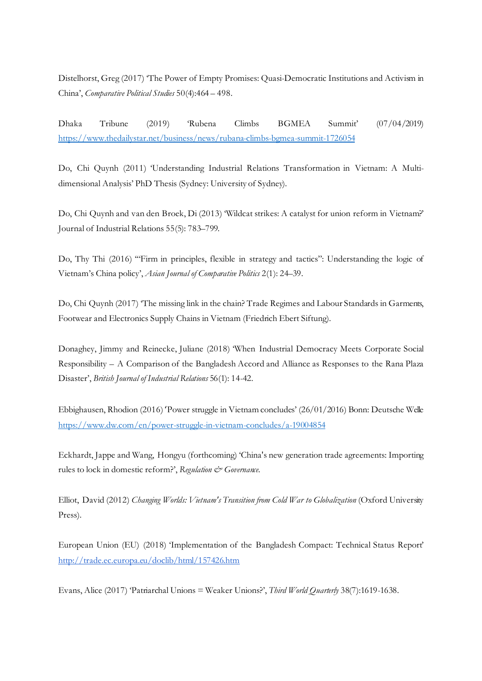Distelhorst, Greg (2017) 'The Power of Empty Promises: Quasi-Democratic Institutions and Activism in China', *Comparative Political Studies* 50(4):464 – 498.

Dhaka Tribune (2019) 'Rubena Climbs BGMEA Summit' (07/04/2019) <https://www.thedailystar.net/business/news/rubana-climbs-bgmea-summit-1726054>

Do, Chi Quynh (2011) 'Understanding Industrial Relations Transformation in Vietnam: A Multidimensional Analysis' PhD Thesis (Sydney: University of Sydney).

Do, Chi Quynh and van den Broek, Di (2013) 'Wildcat strikes: A catalyst for union reform in Vietnam?' Journal of Industrial Relations 55(5): 783–799.

Do, Thy Thi (2016) '"Firm in principles, flexible in strategy and tactics": Understanding the logic of Vietnam's China policy', *Asian Journal of Comparative Politics* 2(1): 24–39.

Do, Chi Quynh (2017) 'The missing link in the chain? Trade Regimes and Labour Standards in Garments, Footwear and Electronics Supply Chains in Vietnam (Friedrich Ebert Siftung).

Donaghey, Jimmy and Reinecke, Juliane (2018) 'When Industrial Democracy Meets Corporate Social Responsibility – A Comparison of the Bangladesh Accord and Alliance as Responses to the Rana Plaza Disaster', *British Journal of Industrial Relations* 56(1): 14-42.

Ebbighausen, Rhodion (2016)'Power struggle in Vietnam concludes' (26/01/2016) Bonn: Deutsche Welle <https://www.dw.com/en/power-struggle-in-vietnam-concludes/a-19004854>

Eckhardt, Jappe and Wang, Hongyu (forthcoming) 'China's new generation trade agreements: Importing rules to lock in domestic reform?', *Regulation & Governance*.

Elliot, David (2012) *Changing Worlds: Vietnam's Transition from Cold War to Globalization* (Oxford University Press).

European Union (EU) (2018) 'Implementation of the Bangladesh Compact: Technical Status Report' <http://trade.ec.europa.eu/doclib/html/157426.htm>

Evans, Alice (2017) 'Patriarchal Unions = Weaker Unions?', *Third World Quarterly* 38(7):1619-1638.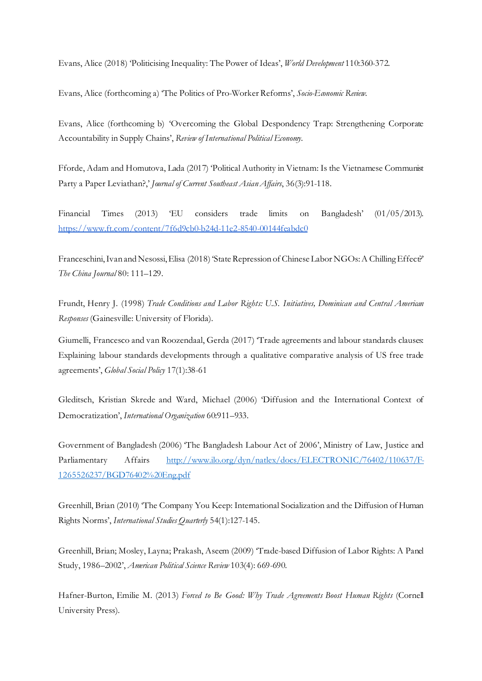Evans, Alice (2018) 'Politicising Inequality: The Power of Ideas', *World Development* 110:360-372.

Evans, Alice (forthcoming a) 'The Politics of Pro-Worker Reforms', *Socio-Economic Review.*

Evans, Alice (forthcoming b) 'Overcoming the Global Despondency Trap: Strengthening Corporate Accountability in Supply Chains', *Review of International Political Economy.*

Fforde, Adam and Homutova, Lada (2017) 'Political Authority in Vietnam: Is the Vietnamese Communist Party a Paper Leviathan?,' *Journal of Current Southeast Asian Affairs*, 36(3):91-118.

Financial Times (2013) 'EU considers trade limits on Bangladesh' (01/05/2013). <https://www.ft.com/content/7f6d9cb0-b24d-11e2-8540-00144feabdc0>

Franceschini, Ivan and Nesossi, Elisa (2018) 'State Repression of Chinese Labor NGOs: A Chilling Effect?' *The China Journal* 80: 111–129.

Frundt, Henry J. (1998) *Trade Conditions and Labor Rights: U.S. Initiatives, Dominican and Central American Responses* (Gainesville: University of Florida).

Giumelli, Francesco and van Roozendaal, Gerda (2017) 'Trade agreements and labour standards clauses: Explaining labour standards developments through a qualitative comparative analysis of US free trade agreements', *Global Social Policy* 17(1):38-61

Gleditsch, Kristian Skrede and Ward, Michael (2006) 'Diffusion and the International Context of Democratization', *International Organization* 60:911–933.

Government of Bangladesh (2006) 'The Bangladesh Labour Act of 2006', Ministry of Law, Justice and Parliamentary Affairs [http://www.ilo.org/dyn/natlex/docs/ELECTRONIC/76402/110637/F-](http://www.ilo.org/dyn/natlex/docs/ELECTRONIC/76402/110637/F-1265526237/BGD76402%20Eng.pdf)[1265526237/BGD76402%20Eng.pdf](http://www.ilo.org/dyn/natlex/docs/ELECTRONIC/76402/110637/F-1265526237/BGD76402%20Eng.pdf)

Greenhill, Brian (2010) 'The Company You Keep: International Socialization and the Diffusion of Human Rights Norms', *International Studies Quarterly* 54(1):127-145.

Greenhill, Brian; Mosley, Layna; Prakash, Aseem (2009) 'Trade-based Diffusion of Labor Rights: A Panel Study, 1986–2002', *American Political Science Review* 103(4): 669-690.

Hafner-Burton, Emilie M. (2013) *Forced to Be Good: Why Trade Agreements Boost Human Rights* (Cornell University Press).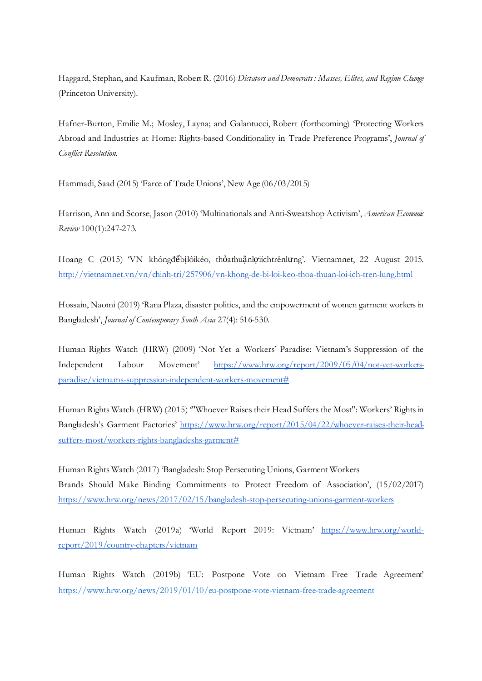Haggard, Stephan, and Kaufman, Robert R. (2016) *Dictators and Democrats : Masses, Elites, and Regime Change* (Princeton University).

Hafner-Burton, Emilie M.; Mosley, Layna; and Galantucci, Robert (forthcoming) 'Protecting Workers Abroad and Industries at Home: Rights-based Conditionality in Trade Preference Programs', *Journal of Conflict Resolution.*

Hammadi, Saad (2015) 'Farce of Trade Unions', New Age (06/03/2015)

Harrison, Ann and Scorse, Jason (2010) 'Multinationals and Anti-Sweatshop Activism', *American Economic Review* 100(1):247-273.

Hoang C (2015) 'VN khôngđểbịlôikéo, thỏathuậnlợiíchtrênlưng'. Vietnamnet, 22 August 2015. <http://vietnamnet.vn/vn/chinh-tri/257906/vn-khong-de-bi-loi-keo-thoa-thuan-loi-ich-tren-lung.html>

Hossain, Naomi (2019) 'Rana Plaza, disaster politics, and the empowerment of women garment workers in Bangladesh', *Journal of Contemporary South Asia* 27(4): 516-530.

Human Rights Watch (HRW) (2009) 'Not Yet a Workers' Paradise: Vietnam's Suppression of the Independent Labour Movement' [https://www.hrw.org/report/2009/05/04/not-yet-workers](https://www.hrw.org/report/2009/05/04/not-yet-workers-paradise/vietnams-suppression-independent-workers-movement)[paradise/vietnams-suppression-independent-workers-movement#](https://www.hrw.org/report/2009/05/04/not-yet-workers-paradise/vietnams-suppression-independent-workers-movement)

Human Rights Watch (HRW) (2015) '"Whoever Raises their Head Suffers the Most": Workers' Rights in Bangladesh's Garment Factories' [https://www.hrw.org/report/2015/04/22/whoever-raises-their-head](https://www.hrw.org/report/2015/04/22/whoever-raises-their-head-suffers-most/workers-rights-bangladeshs-garment)[suffers-most/workers-rights-bangladeshs-garment#](https://www.hrw.org/report/2015/04/22/whoever-raises-their-head-suffers-most/workers-rights-bangladeshs-garment)

Human Rights Watch (2017) 'Bangladesh: Stop Persecuting Unions, Garment Workers Brands Should Make Binding Commitments to Protect Freedom of Association', (15/02/2017) <https://www.hrw.org/news/2017/02/15/bangladesh-stop-persecuting-unions-garment-workers>

Human Rights Watch (2019a) 'World Report 2019: Vietnam' [https://www.hrw.org/world](https://www.hrw.org/world-report/2019/country-chapters/vietnam)[report/2019/country-chapters/vietnam](https://www.hrw.org/world-report/2019/country-chapters/vietnam)

Human Rights Watch (2019b) 'EU: Postpone Vote on Vietnam Free Trade Agreement' <https://www.hrw.org/news/2019/01/10/eu-postpone-vote-vietnam-free-trade-agreement>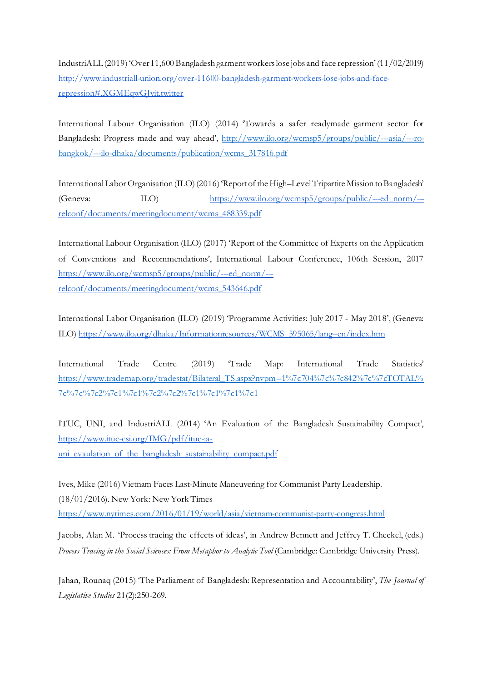IndustriALL (2019) 'Over 11,600 Bangladesh garment workers lose jobs and face repression' (11/02/2019) [http://www.industriall-union.org/over-11600-bangladesh-garment-workers-lose-jobs-and-face](http://www.industriall-union.org/over-11600-bangladesh-garment-workers-lose-jobs-and-face-repression#.XGMEqwGJvit.twitter)[repression#.XGMEqwGJvit.twitter](http://www.industriall-union.org/over-11600-bangladesh-garment-workers-lose-jobs-and-face-repression#.XGMEqwGJvit.twitter)

International Labour Organisation (ILO) (2014) 'Towards a safer readymade garment sector for Bangladesh: Progress made and way ahead', [http://www.ilo.org/wcmsp5/groups/public/---asia/---ro](http://www.ilo.org/wcmsp5/groups/public/---asia/---ro-bangkok/---ilo-dhaka/documents/publication/wcms_317816.pdf)[bangkok/---ilo-dhaka/documents/publication/wcms\\_317816.pdf](http://www.ilo.org/wcmsp5/groups/public/---asia/---ro-bangkok/---ilo-dhaka/documents/publication/wcms_317816.pdf)

International Labor Organisation (ILO) (2016) 'Report of the High–Level Tripartite Mission to Bangladesh' (Geneva: ILO) [https://www.ilo.org/wcmsp5/groups/public/---ed\\_norm/--](https://www.ilo.org/wcmsp5/groups/public/---ed_norm/---relconf/documents/meetingdocument/wcms_488339.pdf) [relconf/documents/meetingdocument/wcms\\_488339.pdf](https://www.ilo.org/wcmsp5/groups/public/---ed_norm/---relconf/documents/meetingdocument/wcms_488339.pdf)

International Labour Organisation (ILO) (2017) 'Report of the Committee of Experts on the Application of Conventions and Recommendations', International Labour Conference, 106th Session, 2017 [https://www.ilo.org/wcmsp5/groups/public/---ed\\_norm/--](https://www.ilo.org/wcmsp5/groups/public/---ed_norm/---relconf/documents/meetingdocument/wcms_543646.pdf) [relconf/documents/meetingdocument/wcms\\_543646.pdf](https://www.ilo.org/wcmsp5/groups/public/---ed_norm/---relconf/documents/meetingdocument/wcms_543646.pdf)

International Labor Organisation (ILO) (2019) 'Programme Activities: July 2017 - May 2018', (Geneva: ILO[\) https://www.ilo.org/dhaka/Informationresources/WCMS\\_595065/lang--en/index.htm](https://www.ilo.org/dhaka/Informationresources/WCMS_595065/lang--en/index.htm)

International Trade Centre (2019) 'Trade Map: International Trade Statistics' [https://www.trademap.org/tradestat/Bilateral\\_TS.aspx?nvpm=1%7c704%7c%7c842%7c%7cTOTAL%](https://www.trademap.org/tradestat/Bilateral_TS.aspx?nvpm=1%7c704%7c%7c842%7c%7cTOTAL%7c%7c%7c2%7c1%7c1%7c2%7c2%7c1%7c1%7c1%7c1) [7c%7c%7c2%7c1%7c1%7c2%7c2%7c1%7c1%7c1%7c1](https://www.trademap.org/tradestat/Bilateral_TS.aspx?nvpm=1%7c704%7c%7c842%7c%7cTOTAL%7c%7c%7c2%7c1%7c1%7c2%7c2%7c1%7c1%7c1%7c1)

ITUC, UNI, and IndustriALL (2014) 'An Evaluation of the Bangladesh Sustainability Compact', [https://www.ituc-csi.org/IMG/pdf/ituc-ia](https://www.ituc-csi.org/IMG/pdf/ituc-ia-uni_evaulation_of_the_bangladesh_sustainability_compact.pdf)uni evaulation of the bangladesh sustainability compact.pdf

Ives, Mike (2016)Vietnam Faces Last-Minute Maneuvering for Communist Party Leadership. (18/01/2016). New York: New York Times <https://www.nytimes.com/2016/01/19/world/asia/vietnam-communist-party-congress.html>

Jacobs, Alan M. 'Process tracing the effects of ideas', in Andrew Bennett and Jeffrey T. Checkel, (eds.) *Process Tracing in the Social Sciences: From Metaphor to Analytic Tool* (Cambridge: Cambridge University Press).

Jahan, Rounaq (2015) 'The Parliament of Bangladesh: Representation and Accountability', *The Journal of Legislative Studies* 21(2):250-269.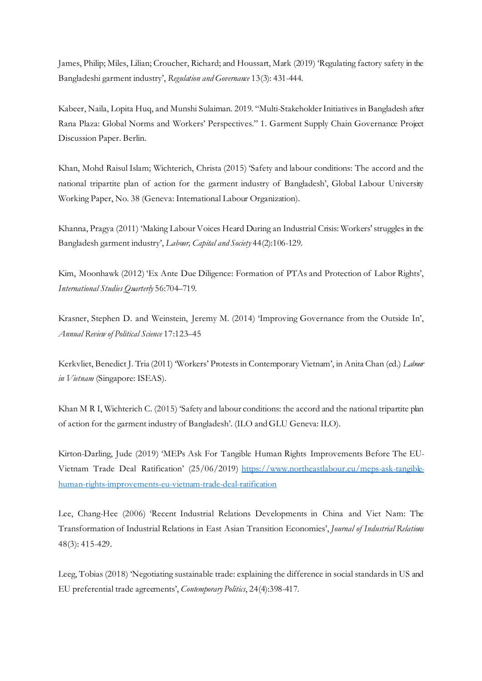James, Philip; Miles, Lilian; Croucher, Richard; and Houssart, Mark (2019) 'Regulating factory safety in the Bangladeshi garment industry', *Regulation and Governance* 13(3): 431-444.

Kabeer, Naila, Lopita Huq, and Munshi Sulaiman. 2019. "Multi-Stakeholder Initiatives in Bangladesh after Rana Plaza: Global Norms and Workers' Perspectives." 1. Garment Supply Chain Governance Project Discussion Paper. Berlin.

Khan, Mohd Raisul Islam; Wichterich, Christa (2015) 'Safety and labour conditions: The accord and the national tripartite plan of action for the garment industry of Bangladesh', Global Labour University Working Paper, No. 38 (Geneva: International Labour Organization).

Khanna, Pragya (2011) 'Making Labour Voices Heard During an Industrial Crisis: Workers' struggles in the Bangladesh garment industry', *Labour, Capital and Society* 44(2):106-129.

Kim, Moonhawk (2012) 'Ex Ante Due Diligence: Formation of PTAs and Protection of Labor Rights', *International Studies Quarterly* 56:704–719.

Krasner, Stephen D. and Weinstein, Jeremy M. (2014) 'Improving Governance from the Outside In', *Annual Review of Political Science* 17:123–45

Kerkvliet, Benedict J. Tria (2011) 'Workers' Protests in Contemporary Vietnam', in Anita Chan (ed.) *Labour in Vietnam* (Singapore: ISEAS).

Khan M R I, Wichterich C. (2015) 'Safety and labour conditions: the accord and the national tripartite plan of action for the garment industry of Bangladesh'. (ILO and GLU Geneva: ILO).

Kirton-Darling, Jude (2019) 'MEPs Ask For Tangible Human Rights Improvements Before The EU-Vietnam Trade Deal Ratification' (25/06/2019) [https://www.northeastlabour.eu/meps-ask-tangible](https://www.northeastlabour.eu/meps-ask-tangible-human-rights-improvements-eu-vietnam-trade-deal-ratification)[human-rights-improvements-eu-vietnam-trade-deal-ratification](https://www.northeastlabour.eu/meps-ask-tangible-human-rights-improvements-eu-vietnam-trade-deal-ratification)

Lee, Chang-Hee (2006) 'Recent Industrial Relations Developments in China and Viet Nam: The Transformation of Industrial Relations in East Asian Transition Economies', *Journal of Industrial Relations* 48(3): 415-429.

Leeg, Tobias (2018) 'Negotiating sustainable trade: explaining the difference in social standards in US and EU preferential trade agreements', *Contemporary Politics*, 24(4):398-417.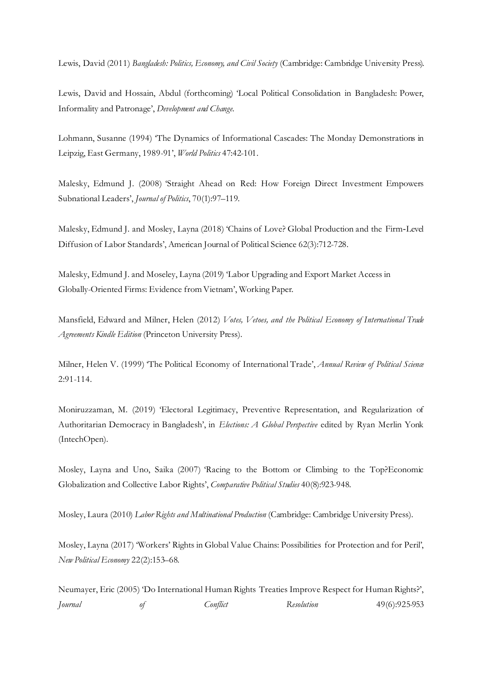Lewis, David (2011) *Bangladesh: Politics, Economy, and Civil Society* (Cambridge: Cambridge University Press).

Lewis, David and Hossain, Abdul (forthcoming) 'Local Political Consolidation in Bangladesh: Power, Informality and Patronage', *Development and Change.* 

Lohmann, Susanne (1994) 'The Dynamics of Informational Cascades: The Monday Demonstrations in Leipzig, East Germany, 1989-91', *World Politics* 47:42-101.

Malesky, Edmund J. (2008) 'Straight Ahead on Red: How Foreign Direct Investment Empowers Subnational Leaders', *Journal of Politics*, 70(1):97–119.

Malesky, Edmund J. and Mosley, Layna (2018) 'Chains of Love? Global Production and the Firm‐Level Diffusion of Labor Standards', American Journal of Political Science 62(3):712-728.

Malesky, Edmund J. and Moseley, Layna (2019) 'Labor Upgrading and Export Market Access in Globally-Oriented Firms: Evidence from Vietnam', Working Paper.

Mansfield, Edward and Milner, Helen (2012) *Votes, Vetoes, and the Political Economy of International Trade Agreements Kindle Edition* (Princeton University Press).

Milner, Helen V. (1999) 'The Political Economy of International Trade', *Annual Review of Political Science*  2:91-114.

Moniruzzaman, M. (2019) 'Electoral Legitimacy, Preventive Representation, and Regularization of Authoritarian Democracy in Bangladesh', in *Elections: A Global Perspective* edited by Ryan Merlin Yonk (IntechOpen).

Mosley, Layna and Uno, Saika (2007) 'Racing to the Bottom or Climbing to the Top?Economic Globalization and Collective Labor Rights', *Comparative Political Studies* 40(8):923-948.

Mosley, Laura (2010) *Labor Rights and Multinational Production* (Cambridge: Cambridge University Press).

Mosley, Layna (2017) 'Workers' Rights in Global Value Chains: Possibilities for Protection and for Peril', *New Political Economy* 22(2):153–68.

Neumayer, Eric (2005) 'Do International Human Rights Treaties Improve Respect for Human Rights?', *Journal of Conflict Resolution* 49(6):925-953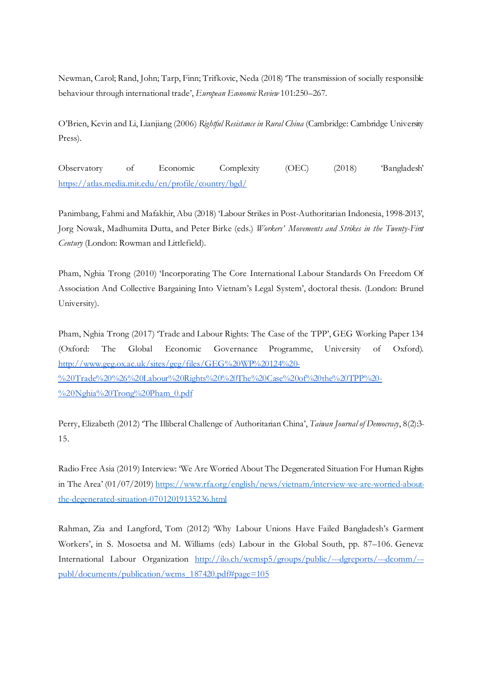Newman, Carol; Rand, John; Tarp, Finn; Trifkovic, Neda (2018) 'The transmission of socially responsible behaviour through international trade', *European Economic Review* 101:250–267.

O'Brien, Kevin and Li, Lianjiang (2006) *Rightful Resistance in Rural China* (Cambridge: Cambridge University Press).

Observatory of Economic Complexity (OEC) (2018) 'Bangladesh' <https://atlas.media.mit.edu/en/profile/country/bgd/>

Panimbang, Fahmi and Mafakhir, Abu (2018) 'Labour Strikes in Post-Authoritarian Indonesia, 1998-2013', Jorg Nowak, Madhumita Dutta, and Peter Birke (eds.) *Workers' Movements and Strikes in the Twenty-First Century* (London: Rowman and Littlefield).

Pham, Nghia Trong (2010) 'Incorporating The Core International Labour Standards On Freedom Of Association And Collective Bargaining Into Vietnam's Legal System', doctoral thesis. (London: Brunel University).

Pham, Nghia Trong (2017) 'Trade and Labour Rights: The Case of the TPP', GEG Working Paper 134 (Oxford: The Global Economic Governance Programme, University of Oxford). [http://www.geg.ox.ac.uk/sites/geg/files/GEG%20WP%20124%20-](http://www.geg.ox.ac.uk/sites/geg/files/GEG%20WP%20124%20-%20Trade%20%26%20Labour%20Rights%20%20The%20Case%20of%20the%20TPP%20-%20Nghia%20Trong%20Pham_0.pdf) [%20Trade%20%26%20Labour%20Rights%20%20The%20Case%20of%20the%20TPP%20-](http://www.geg.ox.ac.uk/sites/geg/files/GEG%20WP%20124%20-%20Trade%20%26%20Labour%20Rights%20%20The%20Case%20of%20the%20TPP%20-%20Nghia%20Trong%20Pham_0.pdf) [%20Nghia%20Trong%20Pham\\_0.pdf](http://www.geg.ox.ac.uk/sites/geg/files/GEG%20WP%20124%20-%20Trade%20%26%20Labour%20Rights%20%20The%20Case%20of%20the%20TPP%20-%20Nghia%20Trong%20Pham_0.pdf)

Perry, Elizabeth (2012) 'The Illiberal Challenge of Authoritarian China', *Taiwan Journal of Democracy*, 8(2):3- 15.

Radio Free Asia (2019) Interview: 'We Are Worried About The Degenerated Situation For Human Rights in The Area' (01/07/2019[\) https://www.rfa.org/english/news/vietnam/interview-we-are-worried-about](https://www.rfa.org/english/news/vietnam/interview-we-are-worried-about-the-degenerated-situation-07012019135236.html)[the-degenerated-situation-07012019135236.html](https://www.rfa.org/english/news/vietnam/interview-we-are-worried-about-the-degenerated-situation-07012019135236.html)

Rahman, Zia and Langford, Tom (2012) 'Why Labour Unions Have Failed Bangladesh's Garment Workers', in S. Mosoetsa and M. Williams (eds) Labour in the Global South, pp. 87–106. Geneva: International Labour Organization [http://ilo.ch/wcmsp5/groups/public/---dgreports/---dcomm/--](http://ilo.ch/wcmsp5/groups/public/---dgreports/---dcomm/---publ/documents/publication/wcms_187420.pdf#page=105) [publ/documents/publication/wcms\\_187420.pdf#page=105](http://ilo.ch/wcmsp5/groups/public/---dgreports/---dcomm/---publ/documents/publication/wcms_187420.pdf#page=105)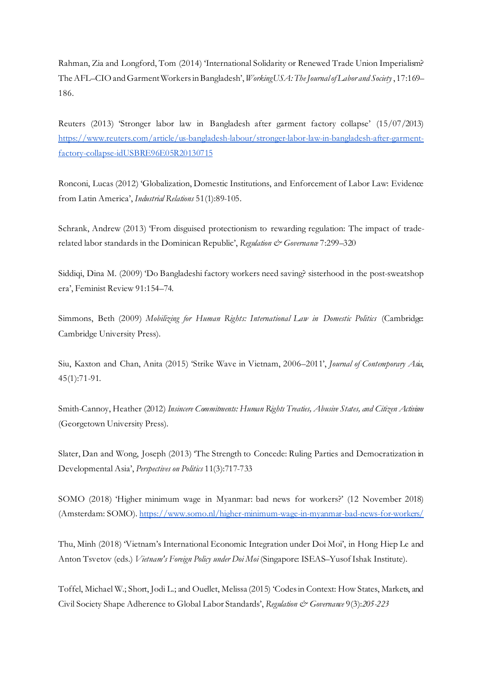Rahman, Zia and Longford, Tom (2014) 'International Solidarity or Renewed Trade Union Imperialism? The AFL–CIO and Garment Workers in Bangladesh', *WorkingUSA: The Journal of Labor and Society* , 17:169– 186.

Reuters (2013) 'Stronger labor law in Bangladesh after garment factory collapse' (15/07/2013) [https://www.reuters.com/article/us-bangladesh-labour/stronger-labor-law-in-bangladesh-after-garment](https://www.reuters.com/article/us-bangladesh-labour/stronger-labor-law-in-bangladesh-after-garment-factory-collapse-idUSBRE96E05R20130715)[factory-collapse-idUSBRE96E05R20130715](https://www.reuters.com/article/us-bangladesh-labour/stronger-labor-law-in-bangladesh-after-garment-factory-collapse-idUSBRE96E05R20130715)

Ronconi, Lucas (2012) 'Globalization, Domestic Institutions, and Enforcement of Labor Law: Evidence from Latin America', *Industrial Relations* 51(1):89-105.

Schrank, Andrew (2013) 'From disguised protectionism to rewarding regulation: The impact of traderelated labor standards in the Dominican Republic', *Regulation & Governance* 7:299-320

Siddiqi, Dina M. (2009) 'Do Bangladeshi factory workers need saving? sisterhood in the post-sweatshop era', Feminist Review 91:154–74.

Simmons, Beth (2009) *Mobilizing for Human Rights: International Law in Domestic Politics* (Cambridge: Cambridge University Press).

Siu, Kaxton and Chan, Anita (2015) 'Strike Wave in Vietnam, 2006–2011', *Journal of Contemporary Asia*, 45(1):71-91.

Smith-Cannoy, Heather (2012) *Insincere Commitments: Human Rights Treaties, Abusive States, and Citizen Activism*  (Georgetown University Press).

Slater, Dan and Wong, Joseph (2013) 'The Strength to Concede: Ruling Parties and Democratization in Developmental Asia', *Perspectives on Politics* 11(3):717-733

SOMO (2018) 'Higher minimum wage in Myanmar: bad news for workers?' (12 November 2018) (Amsterdam: SOMO[\). https://www.somo.nl/higher-minimum-wage-in-myanmar-bad-news-for-workers/](https://www.somo.nl/higher-minimum-wage-in-myanmar-bad-news-for-workers/)

Thu, Minh (2018) 'Vietnam's International Economic Integration under Doi Moi', in Hong Hiep Le and Anton Tsvetov (eds.) *Vietnam's Foreign Policy under Doi Moi* (Singapore: ISEAS–Yusof Ishak Institute).

Toffel, Michael W.; Short, Jodi L.; and Ouellet, Melissa (2015) 'Codes in Context: How States, Markets, and Civil Society Shape Adherence to Global Labor Standards', *Regulation & Governance* 9(3):*205-223*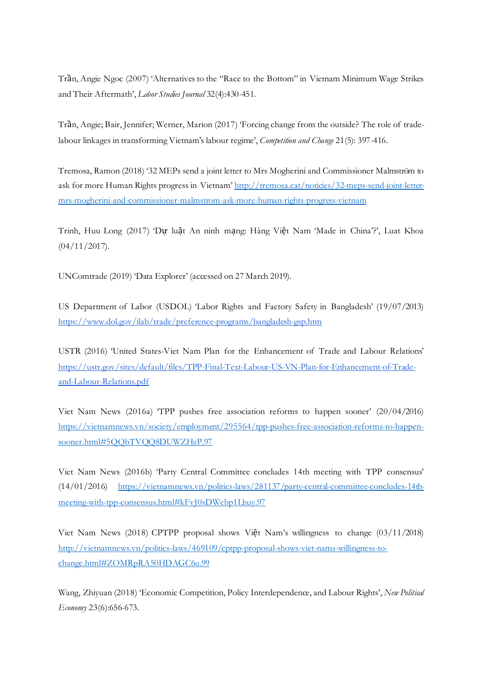Trần, Angie Ngoc (2007) 'Alternatives to the "Race to the Bottom" in Vietnam Minimum Wage Strikes and Their Aftermath', *Labor Studies Journal* 32(4):430-451.

Trần, Angie; Bair, Jennifer; Werner, Marion (2017) 'Forcing change from the outside? The role of tradelabour linkages in transforming Vietnam's labour regime', *Competition and Change* 21(5): 397-416.

Tremosa, Ramon (2018) '32 MEPs send a joint letter to Mrs Mogherini and Commissioner Malmström to ask for more Human Rights progress in Vietnam[' http://tremosa.cat/noticies/32-meps-send-joint-letter](http://tremosa.cat/noticies/32-meps-send-joint-letter-mrs-mogherini-and-commissioner-malmstrom-ask-more-human-rights-progress-vietnam)[mrs-mogherini-and-commissioner-malmstrom-ask-more-human-rights-progress-vietnam](http://tremosa.cat/noticies/32-meps-send-joint-letter-mrs-mogherini-and-commissioner-malmstrom-ask-more-human-rights-progress-vietnam)

Trinh, Huu Long (2017) 'Dư luật An ninh mạng: Hàng Việt Nam 'Made in China'?', Luat Khoa (04/11/2017).

UNComtrade (2019) 'Data Explorer' (accessed on 27 March 2019).

US Department of Labor (USDOL) 'Labor Rights and Factory Safety in Bangladesh' (19/07/2013) <https://www.dol.gov/ilab/trade/preference-programs/bangladesh-gsp.htm>

USTR (2016) 'United States-Viet Nam Plan for the Enhancement of Trade and Labour Relations' [https://ustr.gov/sites/default/files/TPP-Final-Text-Labour-US-VN-Plan-for-Enhancement-of-Trade](https://ustr.gov/sites/default/files/TPP-Final-Text-Labour-US-VN-Plan-for-Enhancement-of-Trade-and-Labour-Relations.pdf)[and-Labour-Relations.pdf](https://ustr.gov/sites/default/files/TPP-Final-Text-Labour-US-VN-Plan-for-Enhancement-of-Trade-and-Labour-Relations.pdf)

Viet Nam News (2016a) 'TPP pushes free association reforms to happen sooner' (20/04/2016) [https://vietnamnews.vn/society/employment/295564/tpp-pushes-free-association-reforms-to-happen](https://vietnamnews.vn/society/employment/295564/tpp-pushes-free-association-reforms-to-happen-sooner.html#5QQbTVQQ8DUWZHzP.97)[sooner.html#5QQbTVQQ8DUWZHzP.97](https://vietnamnews.vn/society/employment/295564/tpp-pushes-free-association-reforms-to-happen-sooner.html#5QQbTVQQ8DUWZHzP.97)

Viet Nam News (2016b) 'Party Central Committee concludes 14th meeting with TPP consensus' (14/01/2016) [https://vietnamnews.vn/politics-laws/281137/party-central-committee-concludes-14th](https://vietnamnews.vn/politics-laws/281137/party-central-committee-concludes-14th-meeting-with-tpp-consensus.html#kFvJ0sDWcbp1Lhuy.97)[meeting-with-tpp-consensus.html#kFvJ0sDWcbp1Lhuy.97](https://vietnamnews.vn/politics-laws/281137/party-central-committee-concludes-14th-meeting-with-tpp-consensus.html#kFvJ0sDWcbp1Lhuy.97)

Viet Nam News (2018) CPTPP proposal shows Việt Nam's willingness to change (03/11/2018) [http://vietnamnews.vn/politics-laws/469109/cptpp-proposal-shows-viet-nams-willingness-to](http://vietnamnews.vn/politics-laws/469109/cptpp-proposal-shows-viet-nams-willingness-to-change.html#ZOMRpRA50HDAGC6u.99)[change.html#ZOMRpRA50HDAGC6u.99](http://vietnamnews.vn/politics-laws/469109/cptpp-proposal-shows-viet-nams-willingness-to-change.html#ZOMRpRA50HDAGC6u.99)

Wang, Zhiyuan (2018) 'Economic Competition, Policy Interdependence, and Labour Rights', *New Political Economy* 23(6):656-673.